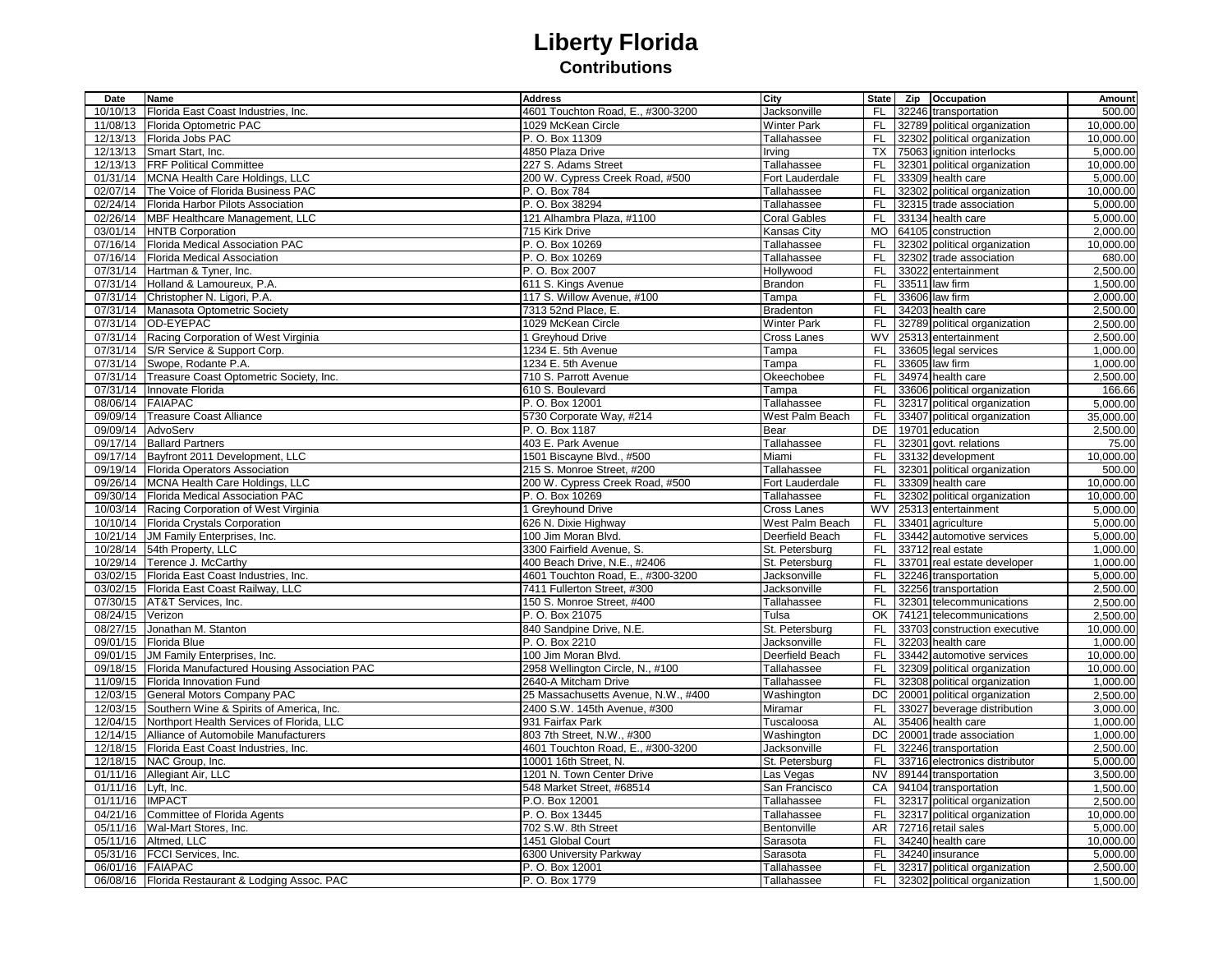| Date     | Name                                               | <b>Address</b>                      | City                | <b>State</b>        | Zip Occupation                | Amount    |
|----------|----------------------------------------------------|-------------------------------------|---------------------|---------------------|-------------------------------|-----------|
| 10/10/13 | Florida East Coast Industries, Inc.                | 4601 Touchton Road, E., #300-3200   | Jacksonville        | FL                  | 32246 transportation          | 500.00    |
| 11/08/13 | Florida Optometric PAC                             | 1029 McKean Circle                  | <b>Winter Park</b>  | FL                  | 32789 political organization  | 10,000.00 |
| 12/13/13 | Florida Jobs PAC                                   | P. O. Box 11309                     | Tallahassee         | FL                  | 32302 political organization  | 10.000.00 |
| 12/13/13 | Smart Start, Inc.                                  | 4850 Plaza Drive                    | Irving              | <b>TX</b>           | 75063 ignition interlocks     | 5.000.00  |
| 12/13/13 | <b>FRF Political Committee</b>                     | 227 S. Adams Street                 | Tallahassee         | FL                  | 32301 political organization  | 10,000.00 |
| 01/31/14 | <b>MCNA Health Care Holdings, LLC</b>              | 200 W. Cypress Creek Road, #500     | Fort Lauderdale     | FL                  | 33309 health care             | 5,000.00  |
| 02/07/14 | The Voice of Florida Business PAC                  | P. O. Box 784                       | Tallahassee         | <b>FL</b>           | 32302 political organization  | 10,000.00 |
| 02/24/14 | Florida Harbor Pilots Association                  | P. O. Box 38294                     | Tallahassee         | <b>FL</b>           | 32315 trade association       | 5,000.00  |
| 02/26/14 | MBF Healthcare Management, LLC                     | 121 Alhambra Plaza, #1100           | <b>Coral Gables</b> | FL                  | 33134 health care             | 5,000.00  |
| 03/01/14 | <b>HNTB Corporation</b>                            | 715 Kirk Drive                      | Kansas City         | <b>MO</b>           | 64105 construction            | 2,000.00  |
| 07/16/14 | Florida Medical Association PAC                    | P. O. Box 10269                     | Tallahassee         | <b>FL</b>           | 32302 political organization  | 10,000.00 |
| 07/16/14 | Florida Medical Association                        | P. O. Box 10269                     | Tallahassee         | <b>FL</b>           | 32302 trade association       | 680.00    |
| 07/31/14 | Hartman & Tyner, Inc.                              | P. O. Box 2007                      | Hollywood           | <b>FL</b>           | 33022 entertainment           | 2,500.00  |
| 07/31/14 | Holland & Lamoureux, P.A.                          | 611 S. Kings Avenue                 | Brandon             | <b>FL</b>           | 33511 law firm                | 1,500.00  |
| 07/31/14 | Christopher N. Ligori, P.A.                        | 117 S. Willow Avenue, #100          | Tampa               | <b>FL</b>           | 33606 law firm                | 2,000.00  |
| 07/31/14 | Manasota Optometric Society                        | 7313 52nd Place, E.                 | Bradenton           | <b>FL</b>           | 34203 health care             | 2,500.00  |
|          | 07/31/14 OD-EYEPAC                                 | 1029 McKean Circle                  | <b>Winter Park</b>  | <b>FL</b>           | 32789 political organization  | 2,500.00  |
| 07/31/14 | Racing Corporation of West Virginia                | 1 Greyhoud Drive                    | Cross Lanes         | WV                  | 25313 entertainment           | 2,500.00  |
| 07/31/14 | S/R Service & Support Corp.                        | 1234 E. 5th Avenue                  | Tampa               | FL.                 | 33605 legal services          | 1,000.00  |
| 07/31/14 | Swope, Rodante P.A.                                | 1234 E. 5th Avenue                  | Tampa               | <b>FL</b>           | 33605 law firm                | 1,000.00  |
| 07/31/14 | Treasure Coast Optometric Society, Inc.            | 710 S. Parrott Avenue               | Okeechobee          | <b>FL</b>           | 34974 health care             | 2,500.00  |
| 07/31/14 | Innovate Florida                                   | 610 S. Boulevard                    | Tampa               | <b>FL</b>           | 33606 political organization  | 166.66    |
| 08/06/14 | <b>FAIAPAC</b>                                     | P. O. Box 12001                     | Tallahassee         | <b>FL</b>           | 32317 political organization  | 5,000.00  |
| 09/09/14 | <b>Treasure Coast Alliance</b>                     | 5730 Corporate Way, #214            | West Palm Beach     | <b>FL</b>           | 33407 political organization  | 35,000.00 |
| 09/09/14 | AdvoServ                                           | P. O. Box 1187                      | Bear                | DE                  | 19701 education               | 2,500.00  |
| 09/17/14 | <b>Ballard Partners</b>                            | 403 E. Park Avenue                  | Tallahassee         | <b>FL</b>           | 32301 govt. relations         | 75.00     |
| 09/17/14 | Bayfront 2011 Development, LLC                     | 1501 Biscayne Blvd., #500           | Miami               | <b>FL</b>           | 33132 development             | 10,000.00 |
| 09/19/14 | Florida Operators Association                      | 215 S. Monroe Street, #200          | Tallahassee         | <b>FL</b>           | 32301 political organization  | 500.00    |
| 09/26/14 | MCNA Health Care Holdings, LLC                     | 200 W. Cypress Creek Road, #500     | Fort Lauderdale     | <b>FL</b>           | 33309 health care             | 10,000.00 |
|          | 09/30/14 Florida Medical Association PAC           | P. O. Box 10269                     | Tallahassee         | FL                  | 32302 political organization  | 10,000.00 |
|          | 10/03/14 Racing Corporation of West Virginia       | 1 Greyhound Drive                   | Cross Lanes         | WV                  | 25313 entertainment           | 5,000.00  |
| 10/10/14 | Florida Crystals Corporation                       | 626 N. Dixie Highway                | West Palm Beach     | <b>FL</b>           | 33401 agriculture             | 5,000.00  |
| 10/21/14 | JM Family Enterprises, Inc.                        | 100 Jim Moran Blvd.                 | Deerfield Beach     | <b>FL</b>           | 33442 automotive services     | 5,000.00  |
|          | 10/28/14 54th Property, LLC                        | 3300 Fairfield Avenue, S.           | St. Petersburg      | <b>FL</b>           | 33712 real estate             | 1,000.00  |
|          | 10/29/14 Terence J. McCarthy                       | 400 Beach Drive, N.E., #2406        | St. Petersburg      | <b>FL</b>           | 33701 real estate developer   | 1,000.00  |
| 03/02/15 | Florida East Coast Industries, Inc.                | 4601 Touchton Road, E., #300-3200   | Jacksonville        | <b>FL</b>           | 32246 transportation          | 5,000.00  |
| 03/02/15 | Florida East Coast Railway, LLC                    | 7411 Fullerton Street, #300         | Jacksonville        | FL                  | 32256 transportation          | 2,500.00  |
| 07/30/15 | AT&T Services, Inc.                                | 150 S. Monroe Street, #400          | Tallahassee         | <b>FL</b>           | 32301 telecommunications      | 2,500.00  |
| 08/24/15 | Verizon                                            | P. O. Box 21075                     | Tulsa               | $\overline{\alpha}$ | 74121 telecommunications      | 2,500.00  |
| 08/27/15 | Jonathan M. Stanton                                | 840 Sandpine Drive, N.E.            | St. Petersburg      | <b>FL</b>           | 33703 construction executive  | 10,000.00 |
| 09/01/15 | Florida Blue                                       | P. O. Box 2210                      | Jacksonville        | <b>FL</b>           | 32203 health care             | 1,000.00  |
| 09/01/15 | JM Family Enterprises, Inc.                        | 100 Jim Moran Blvd.                 | Deerfield Beach     | <b>FL</b>           | 33442 automotive services     | 10,000.00 |
| 09/18/15 | Florida Manufactured Housing Association PAC       | 2958 Wellington Circle, N., #100    | Tallahassee         | <b>FL</b>           | 32309 political organization  | 10,000.00 |
| 11/09/15 | Florida Innovation Fund                            | 2640-A Mitcham Drive                | Tallahassee         | <b>FL</b>           | 32308 political organization  | 1,000.00  |
|          | 12/03/15 General Motors Company PAC                | 25 Massachusetts Avenue, N.W., #400 | Washington          | DC                  | 20001 political organization  | 2,500.00  |
| 12/03/15 | Southern Wine & Spirits of America, Inc.           | 2400 S.W. 145th Avenue, #300        | Miramar             | <b>FL</b>           | 33027 beverage distribution   | 3,000.00  |
|          | 12/04/15 Northport Health Services of Florida, LLC | 931 Fairfax Park                    | Tuscaloosa          | <b>AL</b>           | 35406 health care             | 1,000.00  |
|          | 12/14/15 Alliance of Automobile Manufacturers      | 803 7th Street, N.W., #300          | Washington          | DC                  | 20001 trade association       | 1,000.00  |
|          | 12/18/15   Florida East Coast Industries, Inc.     | 4601 Touchton Road, E., #300-3200   | Jacksonville        | <b>FL</b>           | 32246 transportation          | 2,500.00  |
|          | 12/18/15 NAC Group, Inc.                           | 10001 16th Street, N.               | St. Petersburg      | <b>FL</b>           | 33716 electronics distributor | 5,000.00  |
| 01/11/16 | Allegiant Air, LLC                                 | 1201 N. Town Center Drive           | Las Vegas           | <b>NV</b>           | 89144 transportation          | 3,500.00  |
| 01/11/16 | Lyft, Inc.                                         | 548 Market Street, #68514           | San Francisco       | CA                  | 94104 transportation          | 1,500.00  |
| 01/11/16 | <b>IMPACT</b>                                      | P.O. Box 12001                      | Tallahassee         | <b>FL</b>           | 32317 political organization  | 2,500.00  |
| 04/21/16 | Committee of Florida Agents                        | P. O. Box 13445                     | Tallahassee         | <b>FL</b>           | 32317 political organization  | 10,000.00 |
|          | 05/11/16 Wal-Mart Stores, Inc.                     | 702 S.W. 8th Street                 | Bentonville         | AR                  | 72716 retail sales            | 5,000.00  |
|          | 05/11/16 Altmed, LLC                               | 1451 Global Court                   | Sarasota            | <b>FL</b>           | 34240 health care             | 10,000.00 |
| 05/31/16 | FCCI Services, Inc.                                | 6300 University Parkway             | Sarasota            | <b>FL</b>           | 34240 insurance               | 5,000.00  |
|          | 06/01/16 FAIAPAC                                   | P. O. Box 12001                     | Tallahassee         | <b>FL</b>           | 32317 political organization  | 2,500.00  |
|          | 06/08/16 Florida Restaurant & Lodging Assoc. PAC   | P. O. Box 1779                      | Tallahassee         | FL                  | 32302 political organization  | 1,500.00  |
|          |                                                    |                                     |                     |                     |                               |           |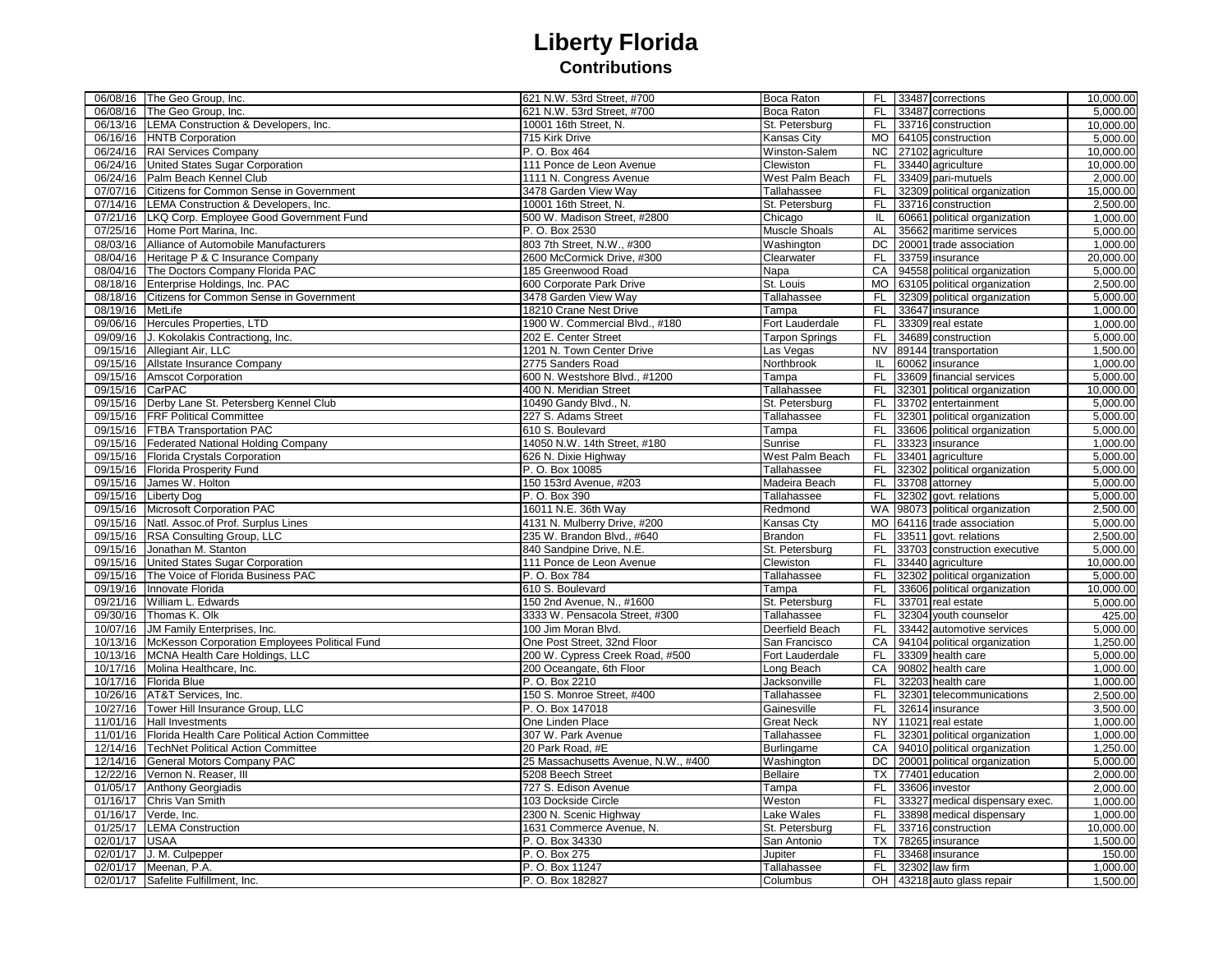|                  | 06/08/16 The Geo Group, Inc.                                 | 621 N.W. 53rd Street, #700          | Boca Raton              | FL.            | 33487 corrections                                 | 10,000.00            |
|------------------|--------------------------------------------------------------|-------------------------------------|-------------------------|----------------|---------------------------------------------------|----------------------|
|                  | 06/08/16 The Geo Group, Inc.                                 | 621 N.W. 53rd Street, #700          | <b>Boca Raton</b>       | FL             | 33487 corrections                                 | 5,000.00             |
|                  | 06/13/16 LEMA Construction & Developers, Inc.                | 10001 16th Street. N.               | St. Petersburg          | FL             | 33716 construction                                | 10,000.00            |
|                  | 06/16/16 HNTB Corporation                                    | 715 Kirk Drive                      | Kansas City             | <b>MO</b>      | 64105 construction                                | 5.000.00             |
|                  | 06/24/16 RAI Services Company                                | P. O. Box 464                       | Winston-Salem           | <b>NC</b>      | 27102 agriculture                                 | 10.000.00            |
|                  |                                                              |                                     |                         |                |                                                   |                      |
|                  | 06/24/16 United States Sugar Corporation                     | 111 Ponce de Leon Avenue            | Clewiston               | FL.            | 33440 agriculture                                 | 10,000.00            |
|                  | 06/24/16 Palm Beach Kennel Club                              | 1111 N. Congress Avenue             | West Palm Beach         | FL             | 33409 pari-mutuels                                | 2,000.00             |
|                  | 07/07/16 Citizens for Common Sense in Government             | 3478 Garden View Way                | Tallahassee             | FL.            | 32309 political organization                      | 15,000.00            |
| 07/14/16         | LEMA Construction & Developers, Inc.                         | 10001 16th Street, N.               | St. Petersburg          | <b>FL</b>      | 33716 construction                                | 2,500.00             |
|                  | 07/21/16 LKQ Corp. Employee Good Government Fund             | 500 W. Madison Street, #2800        | Chicago                 | IL             | 60661 political organization                      | 1,000.00             |
| 07/25/16         | Home Port Marina, Inc.                                       | P. O. Box 2530                      | <b>Muscle Shoals</b>    | <b>AL</b>      | 35662 maritime services                           | 5,000.00             |
|                  | 08/03/16 Alliance of Automobile Manufacturers                | 803 7th Street, N.W., #300          | Washington              | DC             | 20001 trade association                           | 1,000.00             |
|                  | 08/04/16   Heritage P & C Insurance Company                  | 2600 McCormick Drive, #300          | Clearwater              | FL.            | 33759 insurance                                   | 20,000.00            |
|                  | 08/04/16 The Doctors Company Florida PAC                     | 185 Greenwood Road                  | Napa                    | CA             | 94558 political organization                      | 5,000.00             |
|                  | 08/18/16 Enterprise Holdings, Inc. PAC                       | 600 Corporate Park Drive            | St. Louis               | <b>MO</b>      | 63105 political organization                      | 2,500.00             |
|                  | 08/18/16 Citizens for Common Sense in Government             | 3478 Garden View Way                | Tallahassee             | FL.            | 32309 political organization                      | 5,000.00             |
| 08/19/16 MetLife |                                                              | 18210 Crane Nest Drive              | Tampa                   | <b>FL</b>      | 33647 insurance                                   | 1,000.00             |
|                  | 09/06/16 Hercules Properties, LTD                            | 1900 W. Commercial Blvd., #180      | Fort Lauderdale         | <b>FL</b>      | 33309 real estate                                 | 1,000.00             |
|                  | 09/09/16 J. Kokolakis Contractiong, Inc.                     | 202 E. Center Street                | <b>Tarpon Springs</b>   | FL.            | 34689 construction                                | 5,000.00             |
|                  | 09/15/16 Allegiant Air, LLC                                  | 1201 N. Town Center Drive           | Las Vegas               | <b>NV</b>      | 89144 transportation                              | 1,500.00             |
|                  |                                                              |                                     |                         | IL             |                                                   |                      |
|                  | 09/15/16 Allstate Insurance Company                          | 2775 Sanders Road                   | Northbrook              |                | 60062 insurance                                   | 1,000.00             |
|                  | 09/15/16 Amscot Corporation                                  | 600 N. Westshore Blvd., #1200       | Tampa                   | FL.            | 33609 financial services                          | 5,000.00             |
| 09/15/16         | CarPAC                                                       | 400 N. Meridian Street              | Tallahassee             | <b>FL</b>      | 32301 political organization                      | 10,000.00            |
|                  | 09/15/16 Derby Lane St. Petersberg Kennel Club               | 10490 Gandy Blvd., N.               | St. Petersburg          | FL.            | 33702 entertainment                               | 5,000.00             |
|                  | 09/15/16 FRF Political Committee                             | 227 S. Adams Street                 | Tallahassee             | <b>FL</b>      | 32301 political organization                      | 5,000.00             |
|                  | 09/15/16 FTBA Transportation PAC                             | 610 S. Boulevard                    | Tampa                   | <b>FL</b>      | 33606 political organization                      | 5,000.00             |
|                  | 09/15/16 Federated National Holding Company                  | 14050 N.W. 14th Street, #180        | Sunrise                 | F <sub>L</sub> | 33323 insurance                                   | 1,000.00             |
|                  | 09/15/16 Florida Crystals Corporation                        | 626 N. Dixie Highway                | West Palm Beach         | FL             | 33401 agriculture                                 | 5,000.00             |
|                  | 09/15/16 Florida Prosperity Fund                             | P.O. Box 10085                      | Tallahassee             | FL.            | 32302 political organization                      | 5,000.00             |
| 09/15/16         | James W. Holton                                              | 150 153rd Avenue, #203              | Madeira Beach           | FL.            | 33708 attorney                                    | 5,000.00             |
|                  | 09/15/16 Liberty Dog                                         | P. O. Box 390                       | Tallahassee             | FL             | 32302 govt. relations                             | 5,000.00             |
|                  | 09/15/16 Microsoft Corporation PAC                           | 16011 N.E. 36th Way                 | Redmond                 | <b>WA</b>      | 98073 political organization                      | 2,500.00             |
|                  |                                                              |                                     |                         |                |                                                   |                      |
|                  |                                                              |                                     |                         |                |                                                   |                      |
|                  | 09/15/16 Natl. Assoc.of Prof. Surplus Lines                  | 4131 N. Mulberry Drive, #200        | Kansas Cty              | <b>MO</b>      | 64116 trade association                           | 5,000.00             |
|                  | 09/15/16 RSA Consulting Group, LLC                           | 235 W. Brandon Blvd., #640          | Brandon                 | FL.            | 33511 govt. relations                             | 2,500.00             |
|                  | 09/15/16 Jonathan M. Stanton                                 | 840 Sandpine Drive, N.E.            | St. Petersburg          | FL.            | 33703 construction executive                      | 5,000.00             |
| 09/15/16         | United States Sugar Corporation                              | 111 Ponce de Leon Avenue            | Clewiston               | FL             | 33440 agriculture                                 | 10,000.00            |
| 09/15/16         | The Voice of Florida Business PAC                            | P. O. Box 784                       | Tallahassee             | <b>FL</b>      | 32302 political organization                      | 5,000.00             |
| 09/19/16         | Innovate Florida                                             | 610 S. Boulevard                    | Tampa                   | <b>FL</b>      | 33606 political organization                      | 10,000.00            |
|                  | 09/21/16 William L. Edwards                                  | 150 2nd Avenue, N., #1600           | St. Petersburg          | <b>FL</b>      | 33701 real estate                                 | 5,000.00             |
| 09/30/16         | Thomas K. Olk                                                | 3333 W. Pensacola Street, #300      | Tallahassee             | FL             | 32304 youth counselor                             | 425.00               |
|                  | 10/07/16 JM Family Enterprises, Inc.                         | 100 Jim Moran Blvd.                 | Deerfield Beach         | FL.            | 33442 automotive services                         | 5,000.00             |
|                  | 10/13/16 McKesson Corporation Employees Political Fund       | One Post Street, 32nd Floor         | San Francisco           | CA             | 94104 political organization                      | 1,250.00             |
|                  | 10/13/16 MCNA Health Care Holdings, LLC                      | 200 W. Cypress Creek Road, #500     | Fort Lauderdale         | <b>FL</b>      | 33309 health care                                 | 5,000.00             |
|                  | 10/17/16 Molina Healthcare, Inc.                             | 200 Oceangate, 6th Floor            | Long Beach              | CA             | 90802 health care                                 | 1,000.00             |
|                  | 10/17/16 Florida Blue                                        | P. O. Box 2210                      | Jacksonville            | FL.            | 32203 health care                                 | 1,000.00             |
|                  | 10/26/16 AT&T Services, Inc.                                 | 150 S. Monroe Street, #400          | Tallahassee             | FL             | 32301 telecommunications                          | 2,500.00             |
|                  | 10/27/16 Tower Hill Insurance Group, LLC                     | P.O. Box 147018                     | Gainesville             | <b>FL</b>      | 32614 insurance                                   | 3,500.00             |
|                  | 11/01/16 Hall Investments                                    | One Linden Place                    | <b>Great Neck</b>       | <b>NY</b>      |                                                   | 1,000.00             |
|                  | 11/01/16   Florida Health Care Political Action Committee    | 307 W. Park Avenue                  |                         | FL.            | 11021 real estate<br>32301 political organization | 1,000.00             |
|                  |                                                              |                                     | Tallahassee             |                |                                                   |                      |
|                  | 12/14/16 TechNet Political Action Committee                  | 20 Park Road, #E                    | <b>Burlingame</b>       | CA             | 94010 political organization                      | 1,250.00             |
|                  | 12/14/16 General Motors Company PAC                          | 25 Massachusetts Avenue, N.W., #400 | Washington              | DC             | 20001 political organization                      | 5,000.00             |
| 12/22/16         | Vernon N. Reaser, III                                        | 5208 Beech Street                   | <b>Bellaire</b>         | <b>TX</b>      | 77401 education                                   | 2,000.00             |
|                  | 01/05/17 Anthony Georgiadis                                  | 727 S. Edison Avenue                | Tampa                   | FL             | 33606 investor                                    | 2,000.00             |
| 01/16/17         | Chris Van Smith                                              | 103 Dockside Circle                 | Weston                  | <b>FL</b>      | 33327 medical dispensary exec.                    | 1,000.00             |
| 01/16/17         | Verde, Inc.                                                  | 2300 N. Scenic Highway              | Lake Wales              | <b>FL</b>      | 33898 medical dispensary                          | 1,000.00             |
| 01/25/17         | <b>LEMA Construction</b>                                     | 1631 Commerce Avenue, N.            | St. Petersburg          | FL             | 33716 construction                                | 10,000.00            |
| 02/01/17         | <b>USAA</b>                                                  | P. O. Box 34330                     | San Antonio             | <b>TX</b>      | 78265 insurance                                   | 1,500.00             |
| 02/01/17         | J. M. Culpepper                                              | P. O. Box 275                       | Jupiter                 | FL.            | 33468 insurance                                   | 150.00               |
|                  | 02/01/17 Meenan, P.A.<br>02/01/17 Safelite Fulfillment, Inc. | P. O. Box 11247<br>P. O. Box 182827 | Tallahassee<br>Columbus | FL.            | 32302 law firm<br>OH 43218 auto glass repair      | 1,000.00<br>1,500.00 |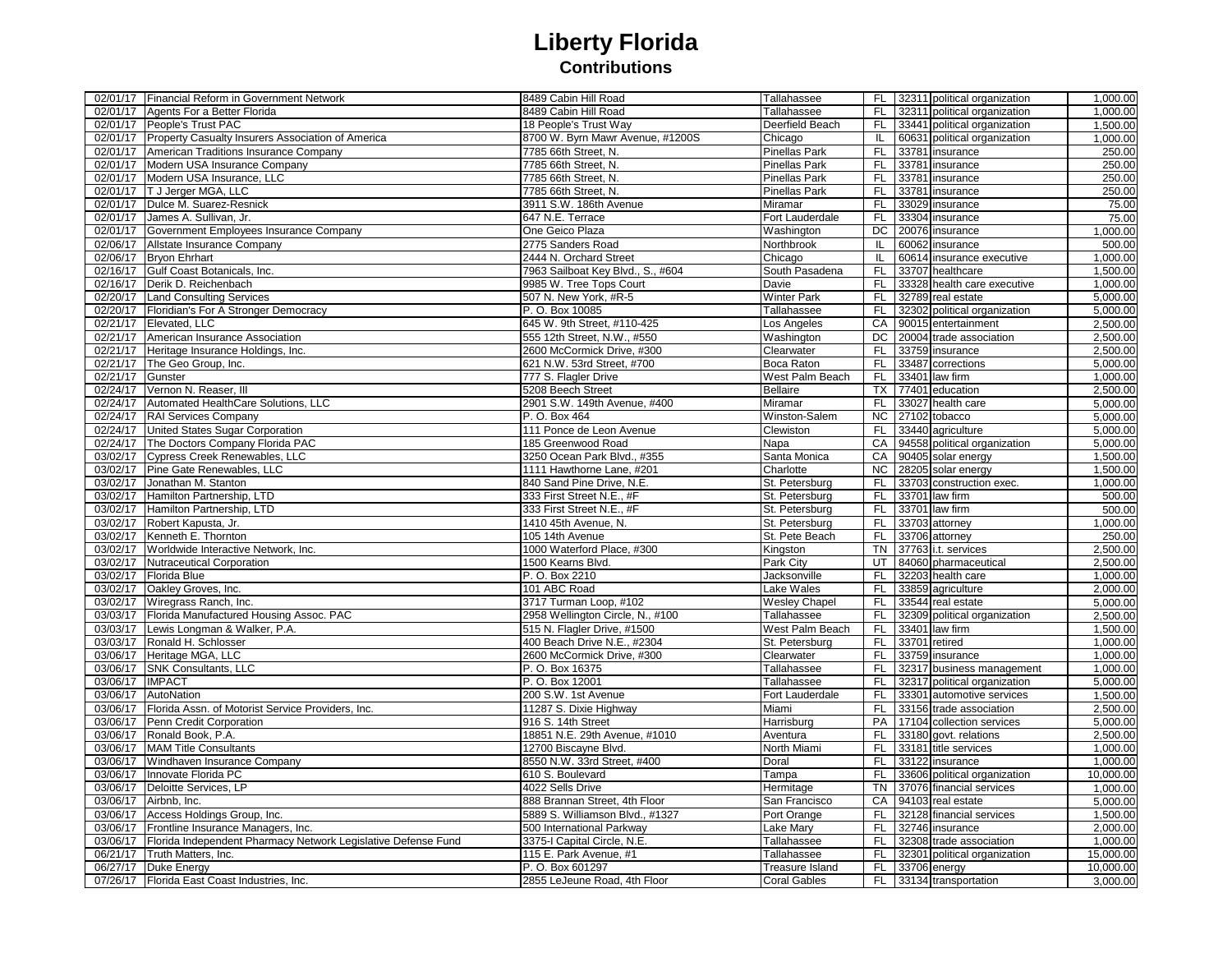|          | 02/01/17   Financial Reform in Government Network             | 8489 Cabin Hill Road              | Tallahassee               | <b>FL</b>       | 32311 political organization | 1,000.00  |
|----------|---------------------------------------------------------------|-----------------------------------|---------------------------|-----------------|------------------------------|-----------|
| 02/01/17 | Agents For a Better Florida                                   | 8489 Cabin Hill Road              | Tallahassee               | <b>FL</b>       | 32311 political organization | 1,000.00  |
| 02/01/17 | People's Trust PAC                                            | 18 People's Trust Way             | Deerfield Beach           | F <sub>L</sub>  | 33441 political organization | 1,500.00  |
|          | 02/01/17 Property Casualty Insurers Association of America    | 8700 W. Byrn Mawr Avenue, #1200S  | Chicago                   | IL              | 60631 political organization | 1,000.00  |
| 02/01/17 | American Traditions Insurance Company                         | 7785 66th Street, N.              | Pinellas Park             | <b>FL</b>       | 33781 insurance              | 250.00    |
| 02/01/17 | Modern USA Insurance Company                                  | 7785 66th Street, N.              | Pinellas Park             | <b>FL</b>       | 33781 insurance              | 250.00    |
| 02/01/17 | Modern USA Insurance, LLC                                     | 7785 66th Street, N.              | <b>Pinellas Park</b>      | <b>FL</b>       | 33781 insurance              | 250.00    |
|          | 02/01/17   T J Jerger MGA, LLC                                | 7785 66th Street, N.              | Pinellas Park             | <b>FL</b>       | 33781 insurance              | 250.00    |
|          | 02/01/17   Dulce M. Suarez-Resnick                            | 3911 S.W. 186th Avenue            | Miramar                   | <b>FL</b>       | 33029 insurance              | 75.00     |
| 02/01/17 | James A. Sullivan, Jr.                                        | 647 N.E. Terrace                  | Fort Lauderdale           | <b>FL</b>       | 33304 insurance              | 75.00     |
|          | 02/01/17 Government Employees Insurance Company               | One Geico Plaza                   | Washington                | $\overline{DC}$ | 20076 insurance              | 1,000.00  |
| 02/06/17 | Allstate Insurance Company                                    | 2775 Sanders Road                 | Northbrook                | IL.             | 60062 insurance              | 500.00    |
|          | 02/06/17 Bryon Ehrhart                                        | 2444 N. Orchard Street            | Chicago                   | IL              | 60614 insurance executive    | 1,000.00  |
| 02/16/17 | Gulf Coast Botanicals, Inc.                                   | 7963 Sailboat Key Blvd., S., #604 | South Pasadena            | <b>FL</b>       | 33707 healthcare             | 1,500.00  |
|          | 02/16/17 Derik D. Reichenbach                                 | 9985 W. Tree Tops Court           | Davie                     | F <sub>L</sub>  | 33328 health care executive  | 1,000.00  |
| 02/20/17 | <b>Land Consulting Services</b>                               | 507 N. New York, #R-5             | <b>Winter Park</b>        | <b>FL</b>       | 32789 real estate            | 5,000.00  |
| 02/20/17 | Floridian's For A Stronger Democracy                          | P. O. Box 10085                   | Tallahassee               | <b>FL</b>       | 32302 political organization | 5,000.00  |
| 02/21/17 | Elevated, LLC                                                 | 645 W. 9th Street, #110-425       |                           | CA              | 90015 entertainment          | 2,500.00  |
| 02/21/17 | American Insurance Association                                | 555 12th Street, N.W., #550       | Los Angeles<br>Washington | $\overline{DC}$ | 20004 trade association      | 2,500.00  |
| 02/21/17 |                                                               | 2600 McCormick Drive, #300        | Clearwater                | <b>FL</b>       |                              | 2,500.00  |
|          | Heritage Insurance Holdings, Inc.                             |                                   |                           |                 | 33759 insurance              |           |
| 02/21/17 | The Geo Group, Inc.                                           | 621 N.W. 53rd Street, #700        | <b>Boca Raton</b>         | <b>FL</b>       | 33487 corrections            | 5,000.00  |
| 02/21/17 | Gunster                                                       | 777 S. Flagler Drive              | West Palm Beach           | <b>FL</b>       | 33401 law firm               | 1,000.00  |
| 02/24/17 | Vernon N. Reaser, III                                         | 5208 Beech Street                 | <b>Bellaire</b>           | <b>TX</b>       | 77401 education              | 2,500.00  |
| 02/24/17 | Automated HealthCare Solutions, LLC                           | 2901 S.W. 149th Avenue, #400      | Miramar                   | <b>FL</b>       | 33027 health care            | 5,000.00  |
| 02/24/17 | <b>RAI Services Company</b>                                   | P. O. Box 464                     | Winston-Salem             | <b>NC</b>       | 27102 tobacco                | 5,000.00  |
| 02/24/17 | United States Sugar Corporation                               | 111 Ponce de Leon Avenue          | Clewiston                 | FL              | 33440 agriculture            | 5,000.00  |
| 02/24/17 | The Doctors Company Florida PAC                               | 185 Greenwood Road                | Napa                      | CA              | 94558 political organization | 5,000.00  |
| 03/02/17 | Cypress Creek Renewables, LLC                                 | 3250 Ocean Park Blvd., #355       | Santa Monica              | CA              | 90405 solar energy           | 1,500.00  |
| 03/02/17 | Pine Gate Renewables, LLC                                     | 1111 Hawthorne Lane, #201         | Charlotte                 | <b>NC</b>       | 28205 solar energy           | 1,500.00  |
| 03/02/17 | Jonathan M. Stanton                                           | 840 Sand Pine Drive, N.E.         | St. Petersburg            | <b>FL</b>       | 33703 construction exec.     | 1,000.00  |
| 03/02/17 | Hamilton Partnership, LTD                                     | 333 First Street N.E., #F         | St. Petersburg            | <b>FL</b>       | $33701$ law firm             | 500.00    |
| 03/02/17 | Hamilton Partnership, LTD                                     | 333 First Street N.E., #F         | St. Petersburg            | <b>FL</b>       | 33701 law firm               | 500.00    |
| 03/02/17 | Robert Kapusta, Jr.                                           | 1410 45th Avenue, N.              | St. Petersburg            | <b>FL</b>       | 33703 attorney               | 1,000.00  |
| 03/02/17 | Kenneth E. Thornton                                           | 105 14th Avenue                   | St. Pete Beach            | <b>FL</b>       | 33706 attorney               | 250.00    |
|          | 03/02/17 Worldwide Interactive Network, Inc.                  | 1000 Waterford Place, #300        | Kingston                  | <b>TN</b>       | 37763 i.t. services          | 2,500.00  |
| 03/02/17 | Nutraceutical Corporation                                     | 1500 Kearns Blvd.                 | Park City                 | UT              | 84060 pharmaceutical         | 2,500.00  |
|          | 03/02/17 Florida Blue                                         | P. O. Box 2210                    | Jacksonville              | FL              | 32203 health care            | 1,000.00  |
|          | 03/02/17 Oakley Groves, Inc.                                  | 101 ABC Road                      | Lake Wales                | <b>FL</b>       | 33859 agriculture            | 2,000.00  |
|          | 03/02/17 Wiregrass Ranch, Inc.                                | 3717 Turman Loop, #102            | <b>Wesley Chapel</b>      | <b>FL</b>       | 33544 real estate            | 5,000.00  |
|          | 03/03/17 Florida Manufactured Housing Assoc. PAC              | 2958 Wellington Circle, N., #100  | Tallahassee               | FL              | 32309 political organization | 2,500.00  |
|          | 03/03/17 Lewis Longman & Walker, P.A.                         | 515 N. Flagler Drive, #1500       | West Palm Beach           | <b>FL</b>       | 33401 law firm               | 1,500.00  |
|          | 03/03/17 Ronald H. Schlosser                                  | 400 Beach Drive N.E., #2304       | St. Petersburg            | FL              | 33701 retired                | 1,000.00  |
| 03/06/17 | Heritage MGA, LLC                                             | 2600 McCormick Drive, #300        | Clearwater                | <b>FL</b>       | 33759 insurance              | 1,000.00  |
| 03/06/17 | <b>SNK Consultants, LLC</b>                                   | P.O. Box 16375                    | Tallahassee               | F <sub>L</sub>  | 32317 business management    | 1,000.00  |
| 03/06/17 | <b>IMPACT</b>                                                 | P. O. Box 12001                   | Tallahassee               | <b>FL</b>       | 32317 political organization | 5,000.00  |
| 03/06/17 | AutoNation                                                    | 200 S.W. 1st Avenue               | Fort Lauderdale           | <b>FL</b>       | 33301 automotive services    | 1,500.00  |
| 03/06/17 | Florida Assn. of Motorist Service Providers, Inc.             | 11287 S. Dixie Highway            | Miami                     | <b>FL</b>       | 33156 trade association      | 2,500.00  |
| 03/06/17 | Penn Credit Corporation                                       | 916 S. 14th Street                | Harrisburg                | PA              | 17104 collection services    | 5,000.00  |
| 03/06/17 | Ronald Book, P.A.                                             | 18851 N.E. 29th Avenue, #1010     | Aventura                  | <b>FL</b>       | 33180 govt. relations        | 2,500.00  |
| 03/06/17 | <b>MAM Title Consultants</b>                                  | 12700 Biscayne Blvd.              | North Miami               | F <sub>L</sub>  | 33181 title services         | 1,000.00  |
| 03/06/17 | Windhaven Insurance Company                                   | 8550 N.W. 33rd Street, #400       | Doral                     | FL              | 33122 insurance              | 1,000.00  |
| 03/06/17 | Innovate Florida PC                                           | 610 S. Boulevard                  | Tampa                     | <b>FL</b>       | 33606 political organization | 10,000.00 |
| 03/06/17 | Deloitte Services, LP                                         | 4022 Sells Drive                  | Hermitage                 | $\overline{T}N$ | 37076 financial services     | 1,000.00  |
| 03/06/17 | Airbnb, Inc.                                                  | 888 Brannan Street, 4th Floor     | San Francisco             | CA              | 94103 real estate            | 5,000.00  |
| 03/06/17 | Access Holdings Group, Inc.                                   | 5889 S. Williamson Blvd., #1327   | Port Orange               | <b>FL</b>       | 32128 financial services     | 1,500.00  |
| 03/06/17 | Frontline Insurance Managers, Inc.                            | 500 International Parkway         | Lake Mary                 | <b>FL</b>       | 32746 insurance              | 2,000.00  |
| 03/06/17 | Florida Independent Pharmacy Network Legislative Defense Fund | 3375-I Capital Circle, N.E.       | Tallahassee               | <b>FL</b>       | 32308 trade association      | 1,000.00  |
| 06/21/17 | Truth Matters, Inc.                                           | 115 E. Park Avenue, #1            | Tallahassee               | <b>FL</b>       | 32301 political organization | 15,000.00 |
| 06/27/17 | Duke Energy                                                   | P. O. Box 601297                  | <b>Treasure Island</b>    | FL              | 33706 energy                 | 10,000.00 |
|          | 07/26/17   Florida East Coast Industries, Inc.                | 2855 LeJeune Road, 4th Floor      | <b>Coral Gables</b>       | FL.             | 33134 transportation         | 3,000.00  |
|          |                                                               |                                   |                           |                 |                              |           |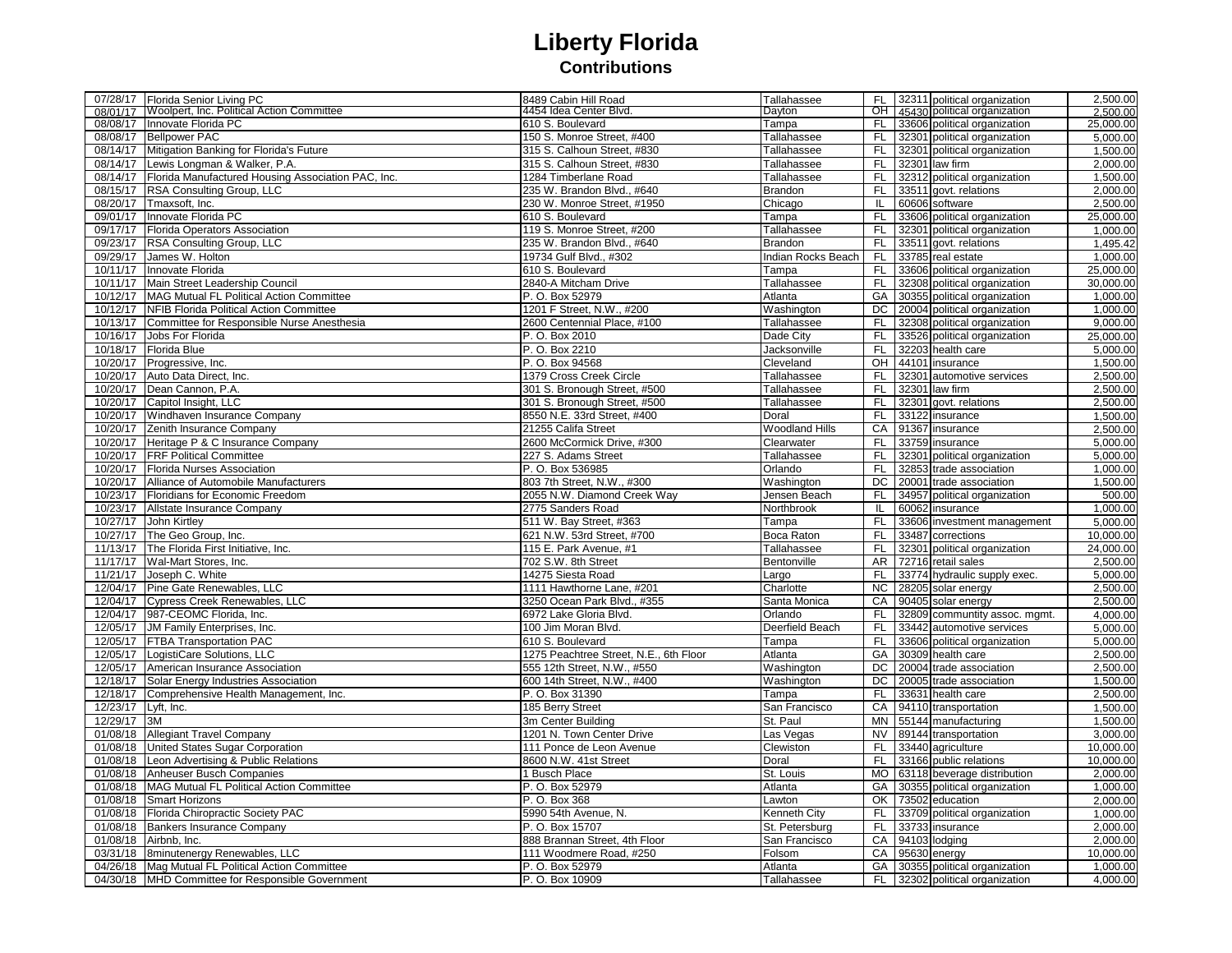| 07/28/17             | Florida Senior Living PC                           | 8489 Cabin Hill Road                     | Tallahassee           | <b>FL</b>       | 32311 political organization                       | 2,500.00             |
|----------------------|----------------------------------------------------|------------------------------------------|-----------------------|-----------------|----------------------------------------------------|----------------------|
| 08/01/17             | Woolpert, Inc. Political Action Committee          | 4454 Idea Center Blvd.                   | Dayton                | OH              | 45430 political organization                       | 2.500.00             |
| 08/08/17             | Innovate Florida PC                                | 610 S. Boulevard                         | Tampa                 | <b>FL</b>       | 33606 political organization                       | 25,000.00            |
| 08/08/17             | <b>Bellpower PAC</b>                               | 150 S. Monroe Street, #400               | Tallahassee           | <b>FL</b>       | 32301 political organization                       | 5,000.00             |
| 08/14/17             | Mitigation Banking for Florida's Future            | 315 S. Calhoun Street, #830              | Tallahassee           | <b>FL</b>       | 32301 political organization                       | 1,500.00             |
| 08/14/17             | Lewis Longman & Walker, P.A.                       | 315 S. Calhoun Street, #830              | Tallahassee           | <b>FL</b>       | 32301 law firm                                     | 2.000.00             |
| 08/14/17             | Florida Manufactured Housing Association PAC, Inc. | 1284 Timberlane Road                     | Tallahassee           | <b>FL</b>       | 32312 political organization                       | 1,500.00             |
| 08/15/17             | RSA Consulting Group, LLC                          | 235 W. Brandon Blvd., #640               | <b>Brandon</b>        | <b>FL</b>       | 33511 govt. relations                              | 2,000.00             |
| 08/20/17             | Tmaxsoft. Inc.                                     | 230 W. Monroe Street, #1950              | Chicago               | -IL             | 60606 software                                     | 2.500.00             |
| 09/01/17             | Innovate Florida PC                                | 610 S. Boulevard                         | Tampa                 | <b>FL</b>       | 33606 political organization                       | 25,000.00            |
| 09/17/17             | Florida Operators Association                      | 119 S. Monroe Street, #200               | Tallahassee           | <b>FL</b>       | 32301 political organization                       | 1,000.00             |
| 09/23/17             | RSA Consulting Group, LLC                          | 235 W. Brandon Blvd., #640               | <b>Brandon</b>        | F <sub>L</sub>  | 33511 govt. relations                              | 1,495.42             |
| 09/29/17             | James W. Holton                                    | 19734 Gulf Blvd., #302                   | Indian Rocks Beach    | FL              | 33785 real estate                                  | 1.000.00             |
| 10/11/17             | Innovate Florida                                   | 610 S. Boulevard                         | Tampa                 | <b>FL</b>       | 33606 political organization                       | 25,000.00            |
| 10/11/17             | Main Street Leadership Council                     | 2840-A Mitcham Drive                     | Tallahassee           | <b>FL</b>       | 32308 political organization                       | 30,000.00            |
| 10/12/17             | MAG Mutual FL Political Action Committee           | P. O. Box 52979                          | Atlanta               | GA              | 30355 political organization                       | 1,000.00             |
| 10/12/17             | NFIB Florida Political Action Committee            | 1201 F Street, N.W., #200                | Washington            | DC              | 20004 political organization                       | 1,000.00             |
| 10/13/17             | Committee for Responsible Nurse Anesthesia         | 2600 Centennial Place, #100              | Tallahassee           | <b>FL</b>       | 32308 political organization                       | 9,000.00             |
| 10/16/17             | Jobs For Florida                                   | P. O. Box 2010                           | Dade City             | <b>FL</b>       | 33526 political organization                       | 25,000.00            |
| 10/18/17             | <b>Florida Blue</b>                                | P. O. Box 2210                           | Jacksonville          | <b>FL</b>       | 32203 health care                                  | 5,000.00             |
| 10/20/17             | Progressive, Inc.                                  | P. O. Box 94568                          | Cleveland             | OH              | 44101 insurance                                    | 1,500.00             |
| 10/20/17             | Auto Data Direct, Inc.                             | 1379 Cross Creek Circle                  | Tallahassee           | <b>FL</b>       | 32301 automotive services                          | 2,500.00             |
| 10/20/17             | Dean Cannon, P.A.                                  | 301 S. Bronough Street, #500             | Tallahassee           | <b>FL</b>       | 32301 law firm                                     | 2,500.00             |
| 10/20/17             | Capitol Insight, LLC                               | 301 S. Bronough Street, #500             | Tallahassee           | FL              | 32301 govt. relations                              | 2,500.00             |
| 10/20/17             | Windhaven Insurance Company                        | 8550 N.E. 33rd Street, #400              | Doral                 | <b>FL</b>       | 33122 insurance                                    | 1,500.00             |
|                      | 10/20/17 Zenith Insurance Company                  | 21255 Califa Street                      | <b>Woodland Hills</b> | CA              | 91367 insurance                                    | 2,500.00             |
| 10/20/17             | Heritage P & C Insurance Company                   | 2600 McCormick Drive, #300               | Clearwater            | <b>FL</b>       | 33759 insurance                                    | 5,000.00             |
| 10/20/17             | <b>FRF Political Committee</b>                     | 227 S. Adams Street                      | Tallahassee           | <b>FL</b>       | 32301 political organization                       | 5,000.00             |
| 10/20/17             | Florida Nurses Association                         | P. O. Box 536985                         | Orlando               | <b>FL</b>       | 32853 trade association                            | 1,000.00             |
|                      | 10/20/17 Alliance of Automobile Manufacturers      | 803 7th Street, N.W., #300               | Washington            | DC              | 20001 trade association                            | 1,500.00             |
| 10/23/17             | Floridians for Economic Freedom                    | 2055 N.W. Diamond Creek Way              | Jensen Beach          | <b>FL</b>       | 34957 political organization                       | 500.00               |
|                      | 10/23/17 Allstate Insurance Company                | 2775 Sanders Road                        | Northbrook            | IL              | 60062 insurance                                    | 1,000.00             |
|                      | 10/27/17 John Kirtley                              | 511 W. Bay Street, #363                  | Tampa                 | FL.             | 33606 investment management                        | 5,000.00             |
| 10/27/17             | The Geo Group, Inc.                                | 621 N.W. 53rd Street, #700               | Boca Raton            | <b>FL</b>       | 33487 corrections                                  | 10,000.00            |
| 11/13/17             | The Florida First Initiative, Inc.                 | 115 E. Park Avenue, #1                   | Tallahassee           | FL<br><b>AR</b> | 32301 political organization                       | 24,000.00            |
| 11/17/17<br>11/21/17 | Wal-Mart Stores, Inc.<br>Joseph C. White           | 702 S.W. 8th Street<br>14275 Siesta Road | Bentonville<br>Largo  | <b>FL</b>       | 72716 retail sales                                 | 2,500.00<br>5,000.00 |
| 12/04/17             | Pine Gate Renewables, LLC                          | 1111 Hawthorne Lane, #201                | Charlotte             | <b>NC</b>       | 33774 hydraulic supply exec.<br>28205 solar energy | 2,500.00             |
| 12/04/17             | Cypress Creek Renewables, LLC                      | 3250 Ocean Park Blvd., #355              | Santa Monica          | CA              | 90405 solar energy                                 | 2,500.00             |
| 12/04/17             | 987-CEOMC Florida, Inc.                            | 6972 Lake Gloria Blvd.                   | Orlando               | <b>FL</b>       | 32809 communtity assoc. mgmt.                      | 4,000.00             |
| 12/05/17             | JM Family Enterprises, Inc.                        | 100 Jim Moran Blvd.                      | Deerfield Beach       | <b>FL</b>       | 33442 automotive services                          | 5,000.00             |
| 12/05/17             | FTBA Transportation PAC                            | 610 S. Boulevard                         | Tampa                 | F               | 33606 political organization                       | 5.000.00             |
| 12/05/17             | LogistiCare Solutions, LLC                         | 1275 Peachtree Street, N.E., 6th Floor   | Atlanta               | GA              | 30309 health care                                  | 2,500.00             |
| 12/05/17             | American Insurance Association                     | 555 12th Street, N.W., #550              | Washington            | DC              | 20004 trade association                            | 2,500.00             |
| 12/18/17             | Solar Energy Industries Association                | 600 14th Street, N.W., #400              | Washington            | DC              | 20005 trade association                            | 1,500.00             |
| 12/18/17             | Comprehensive Health Management, Inc.              | P. O. Box 31390                          | Tampa                 | <b>FL</b>       | 33631 health care                                  | 2.500.00             |
| 12/23/17             | Lyft, Inc.                                         | 185 Berry Street                         | San Francisco         | CA              | 94110 transportation                               | 1,500.00             |
| 12/29/17             | 3M                                                 | 3m Center Building                       | St. Paul              | <b>MN</b>       | 55144 manufacturing                                | 1,500.00             |
|                      | 01/08/18 Allegiant Travel Company                  | 1201 N. Town Center Drive                | Las Vegas             | <b>NV</b>       | 89144 transportation                               | 3.000.00             |
| 01/08/18             | United States Sugar Corporation                    | 111 Ponce de Leon Avenue                 | Clewiston             | <b>FL</b>       | 33440 agriculture                                  | 10.000.00            |
| 01/08/18             | Leon Advertising & Public Relations                | 8600 N.W. 41st Street                    | Doral                 | <b>FL</b>       | 33166 public relations                             | 10,000.00            |
| 01/08/18             | Anheuser Busch Companies                           | 1 Busch Place                            | St. Louis             | <b>MO</b>       | 63118 beverage distribution                        | 2,000.00             |
| 01/08/18             | MAG Mutual FL Political Action Committee           | P. O. Box 52979                          | Atlanta               | GA              | 30355 political organization                       | 1,000.00             |
| 01/08/18             | Smart Horizons                                     | P. O. Box 368                            | Lawton                | OK              | 73502 education                                    | 2,000.00             |
| 01/08/18             | Florida Chiropractic Society PAC                   | 5990 54th Avenue, N.                     | Kenneth City          | <b>FL</b>       | 33709 political organization                       | 1,000.00             |
| 01/08/18             | <b>Bankers Insurance Company</b>                   | P. O. Box 15707                          | St. Petersburg        | <b>FL</b>       | 33733 insurance                                    | 2,000.00             |
| 01/08/18             | Airbnb, Inc.                                       | 888 Brannan Street, 4th Floor            | San Francisco         | CA              | 94103 lodging                                      | 2,000.00             |
| 03/31/18             | 8minutenergy Renewables, LLC                       | 111 Woodmere Road, #250                  | Folsom                | CA              | 95630 energy                                       | 10,000.00            |
| 04/26/18             | Mag Mutual FL Political Action Committee           | P. O. Box 52979                          | Atlanta               | GA              | 30355 political organization                       | 1,000.00             |
|                      | 04/30/18 MHD Committee for Responsible Government  | P. O. Box 10909                          | Tallahassee           | FL.             | 32302 political organization                       | 4,000.00             |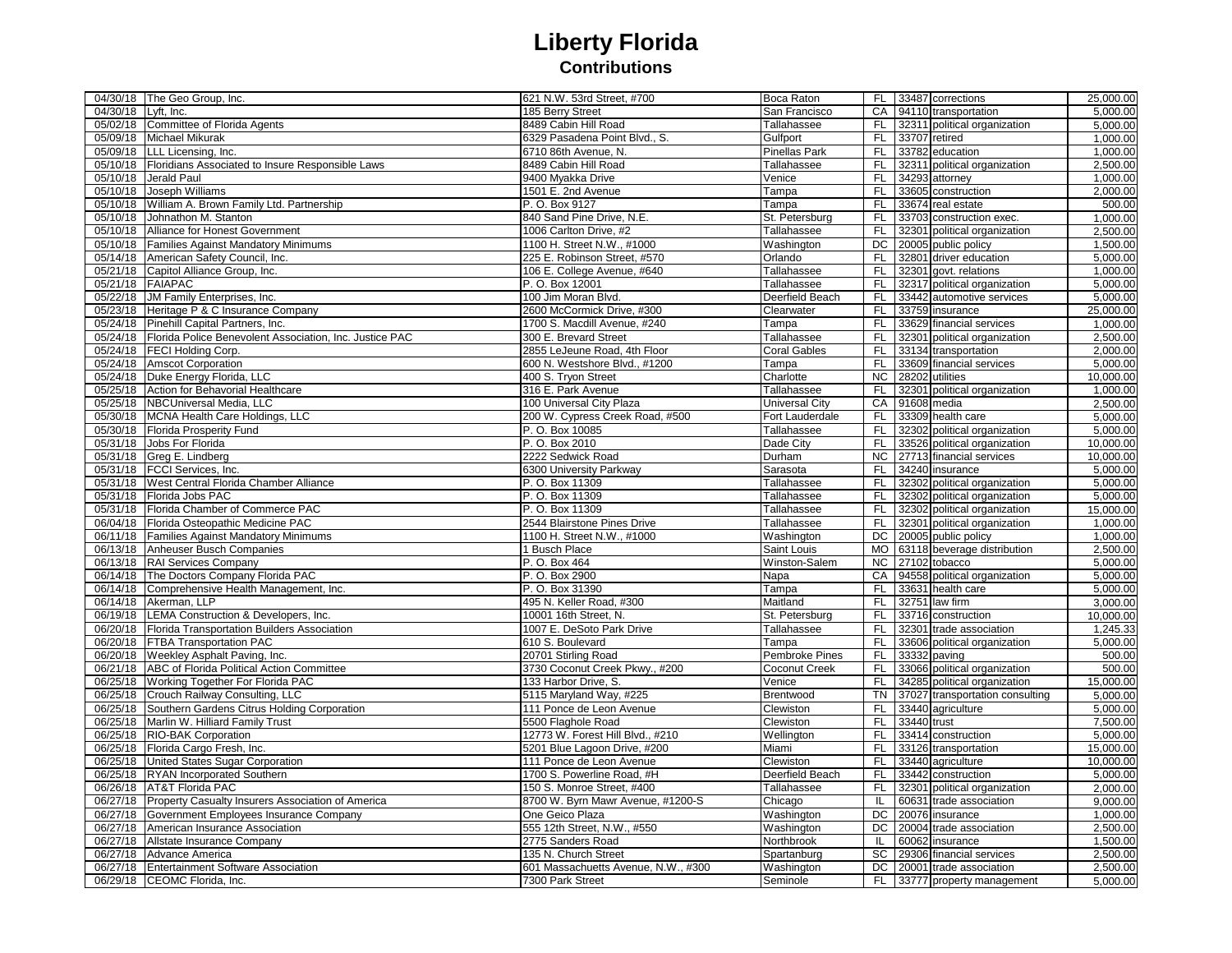|          | 04/30/18 The Geo Group, Inc.                                | 621 N.W. 53rd Street, #700          | Boca Raton           | FL.             |             | 33487 corrections               | 25,000.00 |
|----------|-------------------------------------------------------------|-------------------------------------|----------------------|-----------------|-------------|---------------------------------|-----------|
| 04/30/18 | Lyft, Inc.                                                  | 185 Berry Street                    | San Francisco        | CA              |             | 94110 transportation            | 5,000.00  |
|          | 05/02/18 Committee of Florida Agents                        | 8489 Cabin Hill Road                | Tallahassee          | FL              |             | 32311 political organization    | 5,000.00  |
|          | 05/09/18 Michael Mikurak                                    | 6329 Pasadena Point Blvd., S.       | Gulfport             | F <sub>L</sub>  |             | 33707 retired                   | 1.000.00  |
| 05/09/18 | LLL Licensing, Inc.                                         | 6710 86th Avenue, N.                | <b>Pinellas Park</b> | <b>FL</b>       |             | 33782 education                 | 1,000.00  |
|          |                                                             | 8489 Cabin Hill Road                | Tallahassee          | <b>FL</b>       |             |                                 | 2,500.00  |
|          | 05/10/18   Floridians Associated to Insure Responsible Laws |                                     |                      |                 |             | 32311 political organization    |           |
|          | 05/10/18 Jerald Paul                                        | 9400 Myakka Drive                   | Venice               | FL              |             | 34293 attorney                  | 1,000.00  |
| 05/10/18 | Joseph Williams                                             | 1501 E. 2nd Avenue                  | Tampa                | <b>FL</b>       |             | 33605 construction              | 2,000.00  |
| 05/10/18 | William A. Brown Family Ltd. Partnership                    | P. O. Box 9127                      | Tampa                | FL              |             | 33674 real estate               | 500.00    |
| 05/10/18 | Johnathon M. Stanton                                        | 840 Sand Pine Drive, N.E.           | St. Petersburg       | <b>FL</b>       |             | 33703 construction exec.        | 1,000.00  |
| 05/10/18 | Alliance for Honest Government                              | 1006 Carlton Drive, #2              | Tallahassee          | FL              |             | 32301 political organization    | 2,500.00  |
| 05/10/18 | Families Against Mandatory Minimums                         | 1100 H. Street N.W., #1000          | Washington           | DC              |             | 20005 public policy             | 1,500.00  |
| 05/14/18 | American Safety Council, Inc.                               | 225 E. Robinson Street, #570        | Orlando              | <b>FL</b>       |             | 32801 driver education          | 5,000.00  |
| 05/21/18 | Capitol Alliance Group, Inc.                                | 106 E. College Avenue, #640         | Tallahassee          | <b>FL</b>       |             | 32301 govt. relations           | 1,000.00  |
|          | 05/21/18 FAIAPAC                                            | P.O. Box 12001                      | Tallahassee          | <b>FL</b>       |             | 32317 political organization    | 5,000.00  |
| 05/22/18 | JM Family Enterprises, Inc.                                 | 100 Jim Moran Blvd.                 | Deerfield Beach      | <b>FL</b>       |             | 33442 automotive services       | 5,000.00  |
| 05/23/18 | Heritage P & C Insurance Company                            | 2600 McCormick Drive, #300          | Clearwater           | <b>FL</b>       |             | 33759 insurance                 | 25,000.00 |
| 05/24/18 | Pinehill Capital Partners, Inc.                             | 1700 S. Macdill Avenue, #240        | Tampa                | <b>FL</b>       |             | 33629 financial services        | 1,000.00  |
| 05/24/18 | Florida Police Benevolent Association, Inc. Justice PAC     | 300 E. Brevard Street               | Tallahassee          | <b>FL</b>       |             | 32301 political organization    | 2,500.00  |
| 05/24/18 | FECI Holding Corp.                                          | 2855 LeJeune Road, 4th Floor        | <b>Coral Gables</b>  | FL.             |             | 33134 transportation            | 2,000.00  |
| 05/24/18 | <b>Amscot Corporation</b>                                   | 600 N. Westshore Blvd., #1200       | Tampa                | <b>FL</b>       |             | 33609 financial services        | 5,000.00  |
| 05/24/18 | Duke Energy Florida, LLC                                    | 400 S. Tryon Street                 | Charlotte            | <b>NC</b>       |             | 28202 utilities                 | 10,000.00 |
| 05/25/18 | Action for Behavorial Healthcare                            | 316 E. Park Avenue                  | Tallahassee          | <b>FL</b>       |             | 32301 political organization    | 1,000.00  |
| 05/25/18 | NBCUniversal Media, LLC                                     | 100 Universal City Plaza            | Universal City       | CA              |             | 91608 media                     | 2,500.00  |
| 05/30/18 | MCNA Health Care Holdings, LLC                              | 200 W. Cypress Creek Road, #500     | Fort Lauderdale      | <b>FL</b>       |             | 33309 health care               | 5,000.00  |
| 05/30/18 | Florida Prosperity Fund                                     | P. O. Box 10085                     | Tallahassee          | <b>FL</b>       |             | 32302 political organization    | 5,000.00  |
| 05/31/18 | Jobs For Florida                                            | P. O. Box 2010                      | Dade City            | FL              |             | 33526 political organization    | 10,000.00 |
|          | 05/31/18 Greg E. Lindberg                                   | 2222 Sedwick Road                   | Durham               | $\overline{NC}$ |             | 27713 financial services        | 10,000.00 |
| 05/31/18 | FCCI Services, Inc.                                         | 6300 University Parkway             | Sarasota             | <b>FL</b>       |             | 34240 insurance                 | 5,000.00  |
| 05/31/18 | West Central Florida Chamber Alliance                       | P. O. Box 11309                     | Tallahassee          | <b>FL</b>       |             | 32302 political organization    | 5,000.00  |
|          | 05/31/18 Florida Jobs PAC                                   | P. O. Box 11309                     | Tallahassee          | <b>FL</b>       |             | 32302 political organization    | 5,000.00  |
|          | 05/31/18   Florida Chamber of Commerce PAC                  | P. O. Box 11309                     | Tallahassee          | <b>FL</b>       |             | 32302 political organization    | 15,000.00 |
|          | 06/04/18 Florida Osteopathic Medicine PAC                   | 2544 Blairstone Pines Drive         |                      | <b>FL</b>       |             | 32301 political organization    | 1,000.00  |
|          |                                                             |                                     | Tallahassee          |                 |             |                                 |           |
| 06/11/18 | <b>Families Against Mandatory Minimums</b>                  | 1100 H. Street N.W., #1000          | Washington           | DC              |             | 20005 public policy             | 1,000.00  |
| 06/13/18 | Anheuser Busch Companies                                    | 1 Busch Place                       | Saint Louis          | <b>MO</b>       |             | 63118 beverage distribution     | 2,500.00  |
| 06/13/18 | RAI Services Company                                        | P. O. Box 464                       | Winston-Salem        | <b>NC</b>       |             | 27102 tobacco                   | 5,000.00  |
| 06/14/18 | The Doctors Company Florida PAC                             | P. O. Box 2900                      | Napa                 | CA              |             | 94558 political organization    | 5,000.00  |
| 06/14/18 | Comprehensive Health Management, Inc.                       | P. O. Box 31390                     | Tampa                | <b>FL</b>       |             | 33631 health care               | 5,000.00  |
| 06/14/18 | Akerman, LLP                                                | 495 N. Keller Road, #300            | Maitland             | <b>FL</b>       |             | 32751 law firm                  | 3,000.00  |
| 06/19/18 | LEMA Construction & Developers, Inc.                        | 10001 16th Street, N.               | St. Petersburg       | <b>FL</b>       |             | 33716 construction              | 10,000.00 |
| 06/20/18 | Florida Transportation Builders Association                 | 1007 E. DeSoto Park Drive           | Tallahassee          | <b>FL</b>       |             | 32301 trade association         | 1,245.33  |
| 06/20/18 | FTBA Transportation PAC                                     | 610 S. Boulevard                    | Tampa                | <b>FL</b>       |             | 33606 political organization    | 5,000.00  |
|          | 06/20/18 Weekley Asphalt Paving, Inc.                       | 20701 Stirling Road                 | Pembroke Pines       | <b>FL</b>       |             | 33332 paving                    | 500.00    |
|          | 06/21/18 ABC of Florida Political Action Committee          | 3730 Coconut Creek Pkwy., #200      | Coconut Creek        | <b>FL</b>       |             | 33066 political organization    | 500.00    |
|          | 06/25/18 Working Together For Florida PAC                   | 133 Harbor Drive, S.                | Venice               | <b>FL</b>       |             | 34285 political organization    | 15,000.00 |
| 06/25/18 | Crouch Railway Consulting, LLC                              | 5115 Maryland Way, #225             | Brentwood            | $\overline{T}N$ |             | 37027 transportation consulting | 5,000.00  |
| 06/25/18 | Southern Gardens Citrus Holding Corporation                 | 111 Ponce de Leon Avenue            | Clewiston            | <b>FL</b>       |             | 33440 agriculture               | 5,000.00  |
| 06/25/18 | Marlin W. Hilliard Family Trust                             | 5500 Flaghole Road                  | Clewiston            | FL              | 33440 trust |                                 | 7,500.00  |
|          | 06/25/18 RIO-BAK Corporation                                | 12773 W. Forest Hill Blvd., #210    | Wellington           | FL.             |             | 33414 construction              | 5,000.00  |
| 06/25/18 | Florida Cargo Fresh, Inc.                                   | 5201 Blue Lagoon Drive, #200        | Miami                | <b>FL</b>       |             | 33126 transportation            | 15,000.00 |
| 06/25/18 | United States Sugar Corporation                             | 111 Ponce de Leon Avenue            | Clewiston            | <b>FL</b>       |             | 33440 agriculture               | 10,000.00 |
| 06/25/18 | RYAN Incorporated Southern                                  | 1700 S. Powerline Road, #H          | Deerfield Beach      | FL              |             | 33442 construction              | 5,000.00  |
|          | 06/26/18 AT&T Florida PAC                                   | 150 S. Monroe Street, #400          | Tallahassee          | F <sub>L</sub>  |             | 32301 political organization    | 2,000.00  |
| 06/27/18 | Property Casualty Insurers Association of America           | 8700 W. Byrn Mawr Avenue, #1200-S   | Chicago              | IL.             |             | 60631 trade association         | 9,000.00  |
| 06/27/18 | Government Employees Insurance Company                      | One Geico Plaza                     | Washington           | $\overline{DC}$ |             | 20076 insurance                 | 1,000.00  |
| 06/27/18 | American Insurance Association                              | 555 12th Street, N.W., #550         | Washington           | DC              |             | 20004 trade association         | 2,500.00  |
|          | 06/27/18 Allstate Insurance Company                         | 2775 Sanders Road                   | Northbrook           | IL              |             | 60062 insurance                 | 1,500.00  |
| 06/27/18 | Advance America                                             | 135 N. Church Street                | Spartanburg          | SC              |             | 29306 financial services        | 2,500.00  |
| 06/27/18 | <b>Entertainment Software Association</b>                   | 601 Massachuetts Avenue, N.W., #300 | Washington           | DC              |             | 20001 trade association         | 2,500.00  |
|          | 06/29/18 CEOMC Florida, Inc.                                | 7300 Park Street                    | Seminole             | FL.             |             | 33777 property management       | 5,000.00  |
|          |                                                             |                                     |                      |                 |             |                                 |           |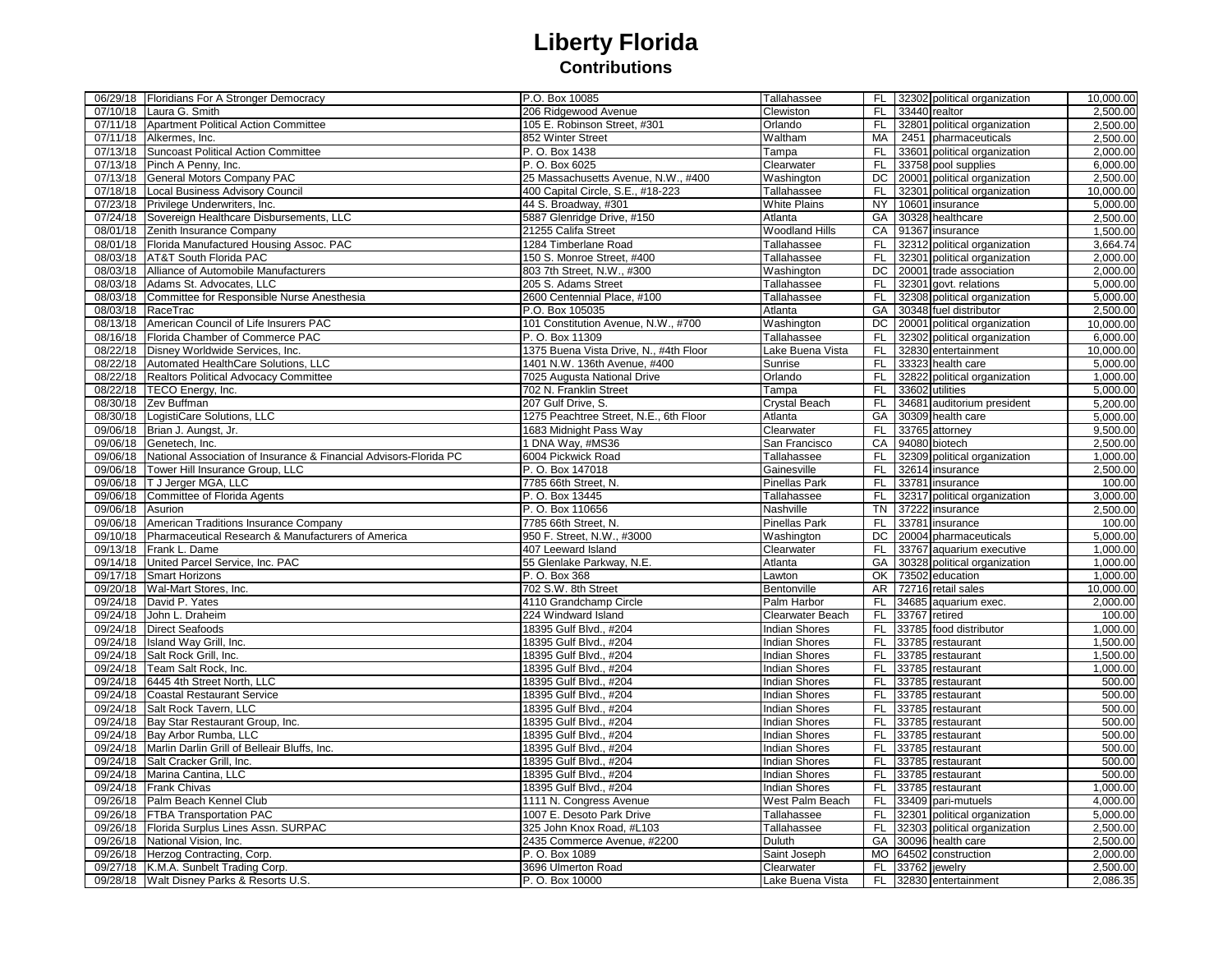|          | 06/29/18 Floridians For A Stronger Democracy                      | P.O. Box 10085                         | Tallahassee           | <b>FL</b>           |       | 32302 political organization | 10,000.00 |
|----------|-------------------------------------------------------------------|----------------------------------------|-----------------------|---------------------|-------|------------------------------|-----------|
|          | 07/10/18 Laura G. Smith                                           | 206 Ridgewood Avenue                   | Clewiston             | FL.                 |       | 33440 realtor                | 2,500.00  |
|          | 07/11/18 Apartment Political Action Committee                     | 105 E. Robinson Street, #301           | Orlando               | <b>FL</b>           |       | 32801 political organization | 2,500.00  |
|          | 07/11/18 Alkermes, Inc.                                           | 852 Winter Street                      | Waltham               | <b>MA</b>           |       | 2451 pharmaceuticals         | 2,500.00  |
|          | 07/13/18 Suncoast Political Action Committee                      | P. O. Box 1438                         | Tampa                 | <b>FL</b>           |       | 33601 political organization | 2,000.00  |
|          | 07/13/18 Pinch A Penny, Inc.                                      | P. O. Box 6025                         | Clearwater            | <b>FL</b>           |       | 33758 pool supplies          | 6,000.00  |
| 07/13/18 | General Motors Company PAC                                        | 25 Massachusetts Avenue, N.W., #400    | Washington            | DC                  |       | 20001 political organization | 2,500.00  |
| 07/18/18 | Local Business Advisory Council                                   | 400 Capital Circle, S.E., #18-223      | Tallahassee           | <b>FL</b>           |       | 32301 political organization | 10,000.00 |
| 07/23/18 | Privilege Underwriters, Inc.                                      | 44 S. Broadway, #301                   | <b>White Plains</b>   | <b>NY</b>           |       | 10601 insurance              | 5,000.00  |
| 07/24/18 | Sovereign Healthcare Disbursements, LLC                           | 5887 Glenridge Drive, #150             | Atlanta               | GA                  |       | 30328 healthcare             | 2,500.00  |
| 08/01/18 | Zenith Insurance Company                                          | 21255 Califa Street                    | <b>Woodland Hills</b> | CA                  |       | 91367 insurance              | 1,500.00  |
| 08/01/18 | Florida Manufactured Housing Assoc. PAC                           | 1284 Timberlane Road                   | Tallahassee           | FL.                 |       | 32312 political organization | 3,664.74  |
| 08/03/18 |                                                                   |                                        |                       | <b>FL</b>           |       |                              | 2,000.00  |
|          | <b>AT&amp;T South Florida PAC</b>                                 | 150 S. Monroe Street, #400             | Tallahassee           |                     |       | 32301 political organization |           |
| 08/03/18 | Alliance of Automobile Manufacturers                              | 803 7th Street, N.W., #300             | Washington            | DC                  |       | 20001 trade association      | 2,000.00  |
| 08/03/18 | Adams St. Advocates, LLC                                          | 205 S. Adams Street                    | Tallahassee           | FL                  |       | 32301 govt. relations        | 5,000.00  |
| 08/03/18 | Committee for Responsible Nurse Anesthesia                        | 2600 Centennial Place, #100            | Tallahassee           | FL                  |       | 32308 political organization | 5,000.00  |
| 08/03/18 | RaceTrac                                                          | P.O. Box 105035                        | Atlanta               | GA                  |       | 30348 fuel distributor       | 2,500.00  |
| 08/13/18 | American Council of Life Insurers PAC                             | 101 Constitution Avenue, N.W., #700    | Washington            | DC                  |       | 20001 political organization | 10,000.00 |
|          | 08/16/18 Florida Chamber of Commerce PAC                          | P. O. Box 11309                        | Tallahassee           | <b>FL</b>           |       | 32302 political organization | 6,000.00  |
| 08/22/18 | Disney Worldwide Services, Inc.                                   | 1375 Buena Vista Drive, N., #4th Floor | Lake Buena Vista      | <b>FL</b>           |       | 32830 entertainment          | 10,000.00 |
| 08/22/18 | Automated HealthCare Solutions, LLC                               | 1401 N.W. 136th Avenue, #400           | Sunrise               | <b>FL</b>           |       | 33323 health care            | 5,000.00  |
| 08/22/18 | Realtors Political Advocacy Committee                             | 7025 Augusta National Drive            | Orlando               | <b>FL</b>           |       | 32822 political organization | 1,000.00  |
| 08/22/18 | TECO Energy, Inc.                                                 | 702 N. Franklin Street                 | Tampa                 | <b>FL</b>           |       | 33602 utilities              | 5,000.00  |
| 08/30/18 | Zev Buffman                                                       | 207 Gulf Drive, S.                     | <b>Crystal Beach</b>  | FL                  |       | 34681 auditorium president   | 5,200.00  |
| 08/30/18 | LogistiCare Solutions, LLC                                        | 1275 Peachtree Street, N.E., 6th Floor | Atlanta               | GA                  |       | 30309 health care            | 5,000.00  |
| 09/06/18 | Brian J. Aungst, Jr.                                              | 1683 Midnight Pass Way                 | Clearwater            | FL                  |       | 33765 attorney               | 9,500.00  |
|          | 09/06/18 Genetech, Inc.                                           | 1 DNA Way, #MS36                       | San Francisco         | CA                  |       | 94080 biotech                | 2,500.00  |
| 09/06/18 | National Association of Insurance & Financial Advisors-Florida PC | 6004 Pickwick Road                     | Tallahassee           | <b>FL</b>           |       | 32309 political organization | 1,000.00  |
| 09/06/18 | Tower Hill Insurance Group, LLC                                   | P. O. Box 147018                       | Gainesville           | <b>FL</b>           |       | 32614 insurance              | 2,500.00  |
| 09/06/18 | T J Jerger MGA, LLC                                               | 7785 66th Street, N.                   | Pinellas Park         | <b>FL</b>           |       | 33781 insurance              | 100.00    |
| 09/06/18 | Committee of Florida Agents                                       | P. O. Box 13445                        | Tallahassee           | <b>FL</b>           |       | 32317 political organization | 3,000.00  |
| 09/06/18 | Asurion                                                           | P.O. Box 110656                        | Nashville             | <b>TN</b>           |       | 37222 insurance              | 2,500.00  |
|          | 09/06/18 American Traditions Insurance Company                    | 7785 66th Street, N.                   | Pinellas Park         | FL.                 |       | 33781 insurance              | 100.00    |
| 09/10/18 | Pharmaceutical Research & Manufacturers of America                | 950 F. Street, N.W., #3000             | Washington            | DC                  |       | 20004 pharmaceuticals        | 5,000.00  |
|          | 09/13/18 Frank L. Dame                                            | 407 Leeward Island                     | Clearwater            | FL.                 |       | 33767 aquarium executive     | 1,000.00  |
| 09/14/18 | United Parcel Service, Inc. PAC                                   | 55 Glenlake Parkway, N.E.              | Atlanta               | GA                  |       | 30328 political organization | 1,000.00  |
| 09/17/18 | <b>Smart Horizons</b>                                             | P. O. Box 368                          | Lawton                | $\overline{\alpha}$ |       | 73502 education              | 1,000.00  |
| 09/20/18 | Wal-Mart Stores, Inc.                                             | 702 S.W. 8th Street                    | Bentonville           | AR                  |       | 72716 retail sales           | 10,000.00 |
| 09/24/18 | David P. Yates                                                    | 4110 Grandchamp Circle                 | Palm Harbor           | <b>FL</b>           | 34685 | aquarium exec.               | 2,000.00  |
|          |                                                                   |                                        |                       |                     |       |                              | 100.00    |
| 09/24/18 | John L. Draheim                                                   | 224 Windward Island                    | Clearwater Beach      | <b>FL</b><br>FL     |       | 33767 retired                |           |
| 09/24/18 | <b>Direct Seafoods</b>                                            | 18395 Gulf Blvd., #204                 | <b>Indian Shores</b>  |                     |       | 33785 food distributor       | 1,000.00  |
| 09/24/18 | Island Way Grill, Inc.                                            | 18395 Gulf Blvd., #204                 | <b>Indian Shores</b>  | FL                  |       | 33785 restaurant             | 1,500.00  |
| 09/24/18 | Salt Rock Grill, Inc.                                             | 18395 Gulf Blvd., #204                 | <b>Indian Shores</b>  | <b>FL</b>           |       | 33785 restaurant             | 1,500.00  |
| 09/24/18 | Team Salt Rock, Inc.                                              | 18395 Gulf Blvd., #204                 | Indian Shores         | FL                  |       | 33785 restaurant             | 1,000.00  |
| 09/24/18 | 6445 4th Street North, LLC                                        | 18395 Gulf Blvd., #204                 | <b>Indian Shores</b>  | <b>FL</b>           |       | 33785 restaurant             | 500.00    |
| 09/24/18 | <b>Coastal Restaurant Service</b>                                 | 18395 Gulf Blvd., #204                 | <b>Indian Shores</b>  | <b>FL</b>           |       | 33785 restaurant             | 500.00    |
| 09/24/18 | Salt Rock Tavern, LLC                                             | 18395 Gulf Blvd., #204                 | <b>Indian Shores</b>  | <b>FL</b>           |       | 33785 restaurant             | 500.00    |
|          | 09/24/18   Bay Star Restaurant Group, Inc.                        | 18395 Gulf Blvd., #204                 | <b>Indian Shores</b>  | <b>FL</b>           |       | 33785 restaurant             | 500.00    |
| 09/24/18 | Bay Arbor Rumba, LLC                                              | 18395 Gulf Blvd., #204                 | <b>Indian Shores</b>  | FL                  |       | 33785 restaurant             | 500.00    |
| 09/24/18 | Marlin Darlin Grill of Belleair Bluffs, Inc.                      | 18395 Gulf Blvd., #204                 | <b>Indian Shores</b>  | <b>FL</b>           |       | 33785 restaurant             | 500.00    |
| 09/24/18 | Salt Cracker Grill, Inc.                                          | 18395 Gulf Blvd., #204                 | <b>Indian Shores</b>  | <b>FL</b>           |       | 33785 restaurant             | 500.00    |
|          | 09/24/18 Marina Cantina, LLC                                      | 18395 Gulf Blvd., #204                 | <b>Indian Shores</b>  | <b>FL</b>           | 33785 | restaurant                   | 500.00    |
| 09/24/18 | <b>Frank Chivas</b>                                               | 18395 Gulf Blvd., #204                 | <b>Indian Shores</b>  | <b>FL</b>           |       | 33785 restaurant             | 1,000.00  |
|          | 09/26/18 Palm Beach Kennel Club                                   | 1111 N. Congress Avenue                | West Palm Beach       | <b>FL</b>           |       | 33409 pari-mutuels           | 4,000.00  |
|          | 09/26/18 FTBA Transportation PAC                                  | 1007 E. Desoto Park Drive              | Tallahassee           | <b>FL</b>           |       | 32301 political organization | 5,000.00  |
|          | 09/26/18   Florida Surplus Lines Assn. SURPAC                     | 325 John Knox Road, #L103              | Tallahassee           | <b>FL</b>           |       | 32303 political organization | 2,500.00  |
|          | 09/26/18 National Vision, Inc.                                    | 2435 Commerce Avenue, #2200            | Duluth                | GA                  |       | 30096 health care            | 2,500.00  |
|          | 09/26/18 Herzog Contracting, Corp.                                | P. O. Box 1089                         | Saint Joseph          | MO.                 |       | 64502 construction           | 2,000.00  |
|          | 09/27/18   K.M.A. Sunbelt Trading Corp.                           | 3696 Ulmerton Road                     | Clearwater            | <b>FL</b>           |       | 33762 jewelry                | 2,500.00  |
|          | 09/28/18 Walt Disney Parks & Resorts U.S.                         | P. O. Box 10000                        | Lake Buena Vista      | FL.                 |       | 32830 entertainment          | 2,086.35  |
|          |                                                                   |                                        |                       |                     |       |                              |           |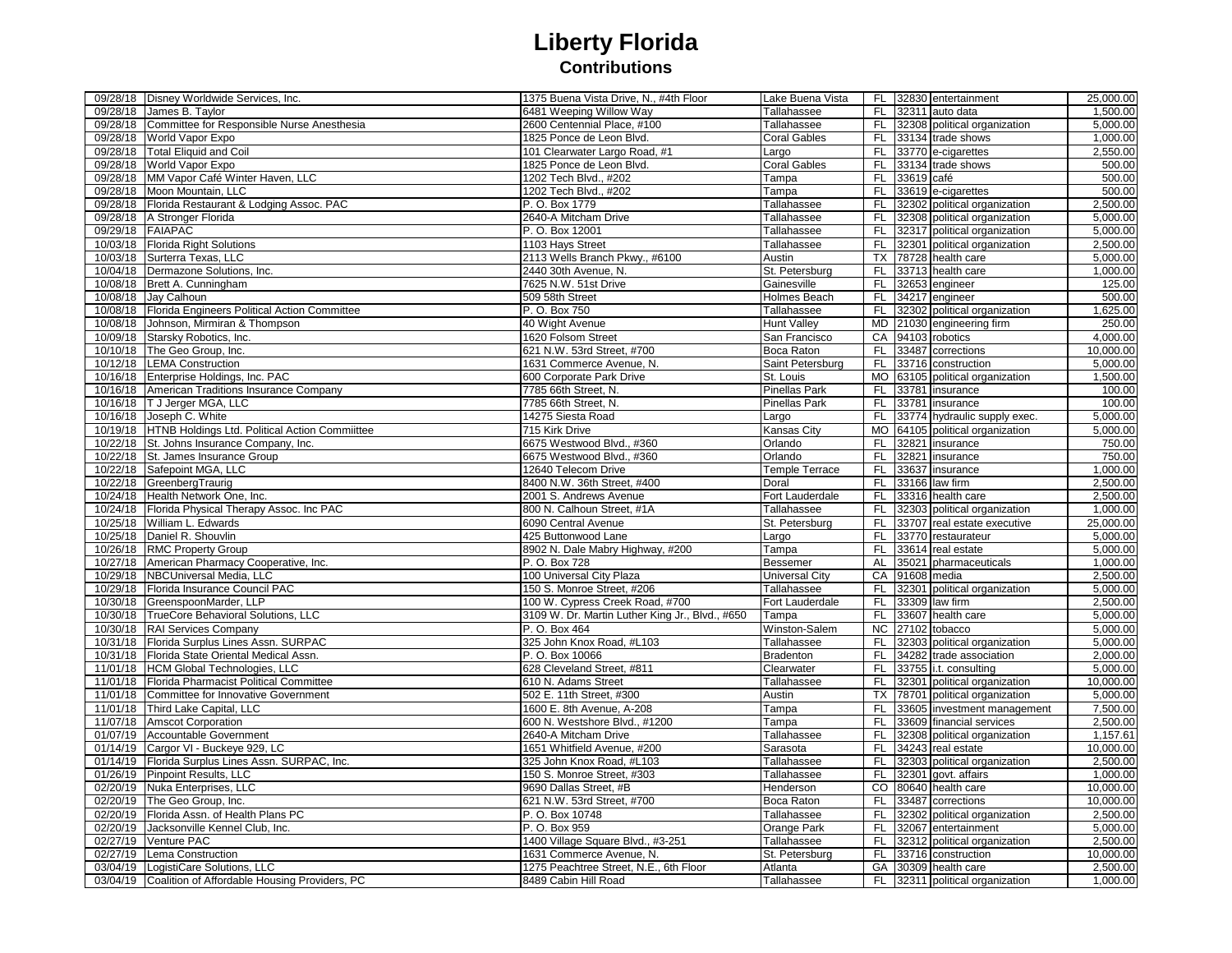|                  | 09/28/18 Disney Worldwide Services, Inc.                | 1375 Buena Vista Drive, N., #4th Floor          | Lake Buena Vista     | <b>FL</b> |            | 32830 entertainment          | 25,000.00 |
|------------------|---------------------------------------------------------|-------------------------------------------------|----------------------|-----------|------------|------------------------------|-----------|
|                  | 09/28/18 James B. Taylor                                | 6481 Weeping Willow Way                         | Tallahassee          | FL.       |            | 32311 auto data              | 1,500.00  |
|                  | 09/28/18 Committee for Responsible Nurse Anesthesia     | 2600 Centennial Place, #100                     | Tallahassee          | <b>FL</b> |            | 32308 political organization | 5,000.00  |
|                  | 09/28/18 World Vapor Expo                               | 1825 Ponce de Leon Blvd.                        | <b>Coral Gables</b>  | FL.       |            | 33134 trade shows            | 1,000.00  |
|                  | 09/28/18   Total Eliquid and Coil                       | 101 Clearwater Largo Road, #1                   | Largo                | <b>FL</b> |            | 33770 e-cigarettes           | 2,550.00  |
|                  | 09/28/18 World Vapor Expo                               | 1825 Ponce de Leon Blvd.                        | Coral Gables         | FL.       |            | 33134 trade shows            | 500.00    |
|                  | 09/28/18 MM Vapor Café Winter Haven, LLC                | 1202 Tech Blvd., #202                           | Tampa                | FL        | 33619 café |                              | 500.00    |
|                  | 09/28/18 Moon Mountain, LLC                             | 1202 Tech Blvd., #202                           | Tampa                | FL        |            | 33619 e-cigarettes           | 500.00    |
|                  | 09/28/18 Florida Restaurant & Lodging Assoc. PAC        | P. O. Box 1779                                  | Tallahassee          | <b>FL</b> |            | 32302 political organization | 2,500.00  |
|                  | 09/28/18 A Stronger Florida                             | 2640-A Mitcham Drive                            | Tallahassee          | <b>FL</b> |            | 32308 political organization | 5,000.00  |
| 09/29/18 FAIAPAC |                                                         | P.O. Box 12001                                  | Tallahassee          | FL        |            | 32317 political organization | 5,000.00  |
|                  |                                                         |                                                 |                      | FL.       |            |                              | 2,500.00  |
|                  | 10/03/18 Florida Right Solutions                        | 1103 Hays Street                                | Tallahassee          |           |            | 32301 political organization |           |
|                  | 10/03/18 Surterra Texas, LLC                            | 2113 Wells Branch Pkwy., #6100                  | Austin               | <b>TX</b> |            | 78728 health care            | 5,000.00  |
|                  | 10/04/18 Dermazone Solutions, Inc.                      | 2440 30th Avenue, N.                            | St. Petersburg       | <b>FL</b> |            | 33713 health care            | 1,000.00  |
|                  | 10/08/18 Brett A. Cunningham                            | 7625 N.W. 51st Drive                            | Gainesville          | FL        |            | 32653 engineer               | 125.00    |
|                  | 10/08/18 Jay Calhoun                                    | 509 58th Street                                 | Holmes Beach         | <b>FL</b> |            | 34217 engineer               | 500.00    |
|                  | 10/08/18   Florida Engineers Political Action Committee | P. O. Box 750                                   | Tallahassee          | <b>FL</b> |            | 32302 political organization | 1,625.00  |
|                  | 10/08/18 Johnson, Mirmiran & Thompson                   | 40 Wight Avenue                                 | <b>Hunt Valley</b>   | <b>MD</b> |            | 21030 engineering firm       | 250.00    |
|                  | 10/09/18 Starsky Robotics, Inc.                         | 1620 Folsom Street                              | San Francisco        | CA        |            | 94103 robotics               | 4,000.00  |
|                  | 10/10/18 The Geo Group, Inc.                            | 621 N.W. 53rd Street, #700                      | Boca Raton           | FL        |            | 33487 corrections            | 10,000.00 |
|                  | 10/12/18 LEMA Construction                              | 1631 Commerce Avenue, N.                        | Saint Petersburg     | <b>FL</b> |            | 33716 construction           | 5,000.00  |
|                  | 10/16/18 Enterprise Holdings, Inc. PAC                  | 600 Corporate Park Drive                        | St. Louis            | <b>MO</b> |            | 63105 political organization | 1,500.00  |
|                  | 10/16/18 American Traditions Insurance Company          | 7785 66th Street, N.                            | Pinellas Park        | FL.       |            | 33781 insurance              | 100.00    |
|                  | 10/16/18   T J Jerger MGA, LLC                          | 7785 66th Street, N.                            | <b>Pinellas Park</b> | FL        |            | 33781 insurance              | 100.00    |
|                  | 10/16/18 Joseph C. White                                | 14275 Siesta Road                               | Largo                | FL        |            | 33774 hydraulic supply exec. | 5,000.00  |
|                  | 10/19/18 HTNB Holdings Ltd. Political Action Commiittee | 715 Kirk Drive                                  | Kansas City          | <b>MO</b> |            | 64105 political organization | 5,000.00  |
|                  | 10/22/18 St. Johns Insurance Company, Inc.              | 6675 Westwood Blvd., #360                       | Orlando              | <b>FL</b> |            | 32821 insurance              | 750.00    |
|                  | 10/22/18 St. James Insurance Group                      | 6675 Westwood Blvd., #360                       | Orlando              | FL        |            | 32821 insurance              | 750.00    |
|                  | 10/22/18 Safepoint MGA, LLC                             | 12640 Telecom Drive                             | Temple Terrace       | <b>FL</b> |            | 33637 insurance              | 1,000.00  |
| 10/22/18         | GreenbergTraurig                                        | 8400 N.W. 36th Street, #400                     | Doral                | FL        |            | 33166 law firm               | 2,500.00  |
|                  | 10/24/18 Health Network One, Inc.                       | 2001 S. Andrews Avenue                          | Fort Lauderdale      | <b>FL</b> |            | 33316 health care            | 2,500.00  |
|                  | 10/24/18 Florida Physical Therapy Assoc. Inc PAC        | 800 N. Calhoun Street, #1A                      | Tallahassee          | FL        |            | 32303 political organization | 1,000.00  |
|                  | 10/25/18 William L. Edwards                             | 6090 Central Avenue                             | St. Petersburg       | <b>FL</b> |            | 33707 real estate executive  | 25,000.00 |
| 10/25/18         | Daniel R. Shouvlin                                      | 425 Buttonwood Lane                             |                      | <b>FL</b> |            | 33770 restaurateur           | 5,000.00  |
|                  |                                                         |                                                 | Largo                |           |            |                              |           |
|                  | 10/26/18 RMC Property Group                             | 8902 N. Dale Mabry Highway, #200                | Tampa                | <b>FL</b> |            | 33614 real estate            | 5,000.00  |
| 10/27/18         | American Pharmacy Cooperative, Inc.                     | P. O. Box 728                                   | Bessemer             | <b>AL</b> |            | 35021 pharmaceuticals        | 1,000.00  |
|                  | 10/29/18 NBCUniversal Media, LLC                        | 100 Universal City Plaza                        | Universal City       | CA        |            | 91608 media                  | 2,500.00  |
|                  | 10/29/18   Florida Insurance Council PAC                | 150 S. Monroe Street, #206                      | Tallahassee          | <b>FL</b> |            | 32301 political organization | 5,000.00  |
|                  | 10/30/18 GreenspoonMarder, LLP                          | 100 W. Cypress Creek Road, #700                 | Fort Lauderdale      | <b>FL</b> |            | 33309 law firm               | 2,500.00  |
|                  | 10/30/18 TrueCore Behavioral Solutions, LLC             | 3109 W. Dr. Martin Luther King Jr., Blvd., #650 | Tampa                | <b>FL</b> |            | 33607 health care            | 5,000.00  |
|                  | 10/30/18 RAI Services Company                           | P. O. Box 464                                   | Winston-Salem        | <b>NC</b> |            | 27102 tobacco                | 5,000.00  |
|                  | 10/31/18   Florida Surplus Lines Assn. SURPAC           | 325 John Knox Road, #L103                       | Tallahassee          | <b>FL</b> |            | 32303 political organization | 5,000.00  |
|                  | 10/31/18 Florida State Oriental Medical Assn.           | P.O. Box 10066                                  | <b>Bradenton</b>     | <b>FL</b> |            | 34282 trade association      | 2,000.00  |
|                  | 11/01/18 HCM Global Technologies, LLC                   | 628 Cleveland Street, #811                      | Clearwater           | <b>FL</b> |            | 33755 i.t. consulting        | 5,000.00  |
|                  | 11/01/18 Florida Pharmacist Political Committee         | 610 N. Adams Street                             | Tallahassee          | FL.       |            | 32301 political organization | 10,000.00 |
|                  | 11/01/18 Committee for Innovative Government            | 502 E. 11th Street, #300                        | Austin               | <b>TX</b> |            | 78701 political organization | 5,000.00  |
|                  | 11/01/18 Third Lake Capital, LLC                        | 1600 E. 8th Avenue, A-208                       | Tampa                | <b>FL</b> |            | 33605 investment management  | 7,500.00  |
|                  | 11/07/18 Amscot Corporation                             | 600 N. Westshore Blvd., #1200                   | Tampa                | FL        |            | 33609 financial services     | 2,500.00  |
|                  | 01/07/19 Accountable Government                         | 2640-A Mitcham Drive                            | Tallahassee          | FL.       |            | 32308 political organization | 1,157.61  |
|                  | 01/14/19 Cargor VI - Buckeye 929, LC                    | 1651 Whitfield Avenue, #200                     | Sarasota             | <b>FL</b> |            | 34243 real estate            | 10,000.00 |
|                  | 01/14/19 Florida Surplus Lines Assn. SURPAC, Inc.       | 325 John Knox Road, #L103                       | Tallahassee          | <b>FL</b> |            | 32303 political organization | 2,500.00  |
|                  | 01/26/19 Pinpoint Results, LLC                          | 150 S. Monroe Street, #303                      | Tallahassee          | <b>FL</b> |            | 32301 govt. affairs          | 1,000.00  |
|                  | 02/20/19 Nuka Enterprises, LLC                          | 9690 Dallas Street, #B                          | Henderson            | CO        |            | 80640 health care            | 10,000.00 |
| 02/20/19         | The Geo Group, Inc.                                     | 621 N.W. 53rd Street, #700                      | Boca Raton           | <b>FL</b> |            | 33487 corrections            | 10,000.00 |
| 02/20/19         | Florida Assn. of Health Plans PC                        | P. O. Box 10748                                 | Tallahassee          | FL        |            | 32302 political organization | 2,500.00  |
| 02/20/19         | Jacksonville Kennel Club, Inc.                          | P. O. Box 959                                   | Orange Park          | FL        |            | 32067 entertainment          | 5,000.00  |
|                  | 02/27/19 Venture PAC                                    |                                                 | Tallahassee          | <b>FL</b> |            |                              | 2,500.00  |
|                  |                                                         | 1400 Village Square Blvd., #3-251               |                      |           |            | 32312 political organization |           |
| 02/27/19         | Lema Construction                                       | 1631 Commerce Avenue, N.                        | St. Petersburg       | <b>FL</b> |            | 33716 construction           | 10,000.00 |
|                  | 03/04/19 LogistiCare Solutions, LLC                     | 1275 Peachtree Street, N.E., 6th Floor          | Atlanta              | GA        |            | 30309 health care            | 2,500.00  |
|                  | 03/04/19 Coalition of Affordable Housing Providers, PC  | 8489 Cabin Hill Road                            | Tallahassee          | <b>FL</b> |            | 32311 political organization | 1,000.00  |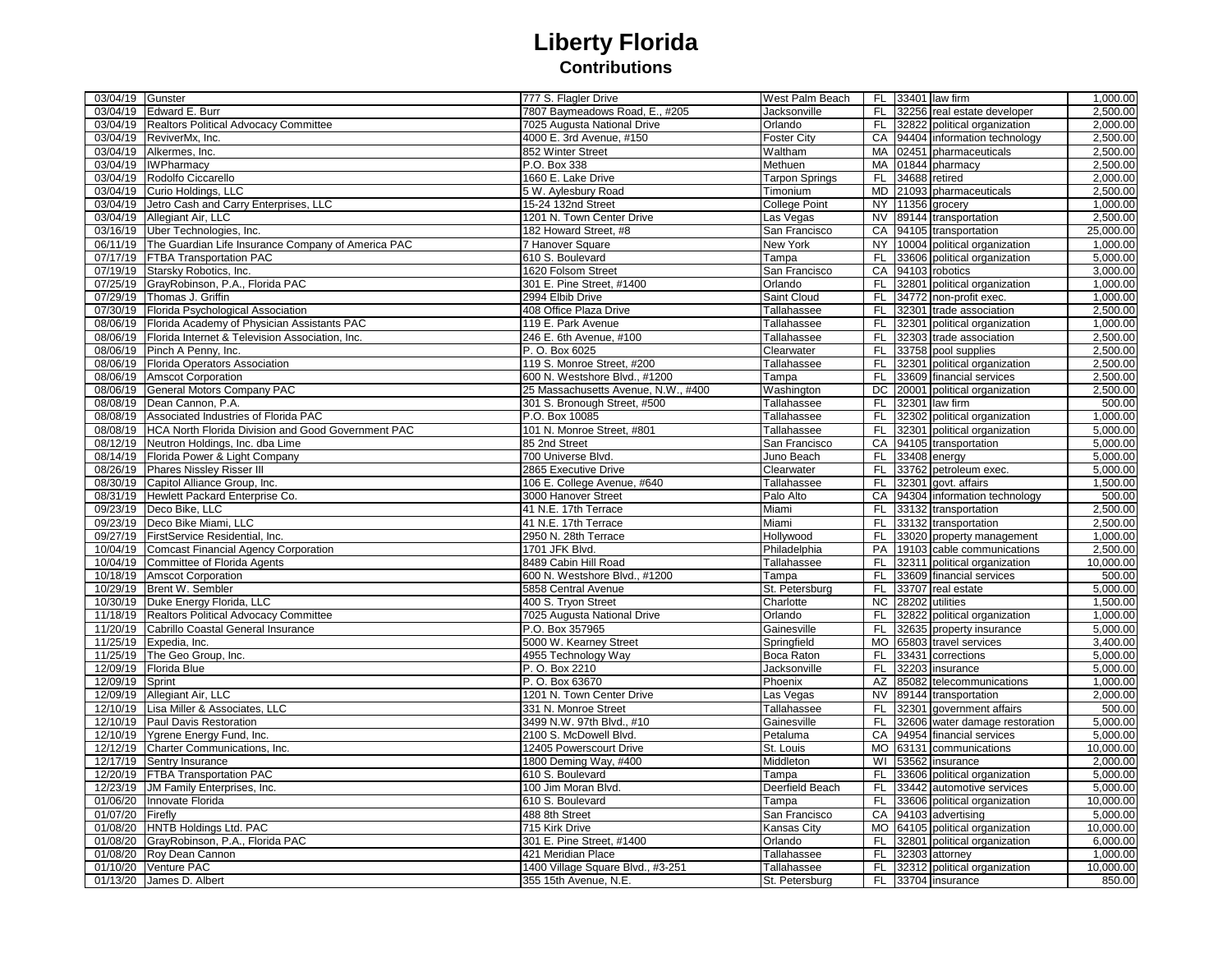|                       | 03/04/19 Gunster                                   | 777 S. Flagler Drive                                       | West Palm Beach               | FL.              | 33401 law firm                                  | 1,000.00            |
|-----------------------|----------------------------------------------------|------------------------------------------------------------|-------------------------------|------------------|-------------------------------------------------|---------------------|
| 03/04/19              | Edward E. Burr                                     | 7807 Baymeadows Road, E., #205                             | Jacksonville                  | <b>FL</b>        | 32256 real estate developer                     | 2,500.00            |
| 03/04/19              | Realtors Political Advocacy Committee              | 7025 Augusta National Drive                                | Orlando                       | <b>FL</b>        | 32822 political organization                    | 2,000.00            |
| 03/04/19              | ReviverMx, Inc.                                    | 4000 E. 3rd Avenue, #150                                   | <b>Foster City</b>            | CA               |                                                 | 2,500.00            |
| 03/04/19              |                                                    | 852 Winter Street                                          |                               | <b>MA</b>        | 94404 information technology                    |                     |
|                       | Alkermes, Inc.                                     |                                                            | Waltham                       |                  | 02451 pharmaceuticals                           | 2,500.00            |
|                       | 03/04/19 IWPharmacy                                | P.O. Box 338                                               | Methuen                       | <b>MA</b>        | 01844 pharmacy                                  | 2,500.00            |
|                       | 03/04/19 Rodolfo Ciccarello                        | 1660 E. Lake Drive                                         | Tarpon Springs                | F <sub>L</sub>   | 34688 retired                                   | 2,000.00            |
| 03/04/19              | Curio Holdings, LLC                                | 5 W. Aylesbury Road                                        | Timonium                      | <b>MD</b>        | 21093 pharmaceuticals                           | 2,500.00            |
| 03/04/19              | Jetro Cash and Carry Enterprises, LLC              | 15-24 132nd Street                                         | <b>College Point</b>          | <b>NY</b>        | 11356 grocery                                   | 1,000.00            |
| 03/04/19              | Allegiant Air, LLC                                 | 1201 N. Town Center Drive                                  | Las Vegas                     | <b>NV</b>        | 89144 transportation                            | 2,500.00            |
|                       | 03/16/19 Uber Technologies, Inc.                   | 182 Howard Street, #8                                      | San Francisco                 | CA               | 94105 transportation                            | 25,000.00           |
| 06/11/19              | The Guardian Life Insurance Company of America PAC | 7 Hanover Square                                           | New York                      | NY               | 10004 political organization                    | 1,000.00            |
| 07/17/19              | FTBA Transportation PAC                            | 610 S. Boulevard                                           | Tampa                         | <b>FL</b>        | 33606 political organization                    | 5,000.00            |
| 07/19/19              | Starsky Robotics, Inc.                             | 1620 Folsom Street                                         | San Francisco                 | CA               | 94103 robotics                                  | 3,000.00            |
| $\overline{07/25}/19$ | GrayRobinson, P.A., Florida PAC                    | 301 E. Pine Street, #1400                                  | Orlando                       | FL               | 32801 political organization                    | 1,000.00            |
| 07/29/19              | Thomas J. Griffin                                  | 2994 Elbib Drive                                           | Saint Cloud                   | <b>FL</b>        | 34772 non-profit exec.                          | 1,000.00            |
| 07/30/19              | Florida Psychological Association                  | 408 Office Plaza Drive                                     | Tallahassee                   | <b>FL</b>        | 32301 trade association                         | 2,500.00            |
| 08/06/19              | Florida Academy of Physician Assistants PAC        | 119 E. Park Avenue                                         | Tallahassee                   | <b>FL</b>        | 32301 political organization                    | 1,000.00            |
| 08/06/19              | Florida Internet & Television Association, Inc.    | 246 E. 6th Avenue, #100                                    | Tallahassee                   | <b>FL</b>        | 32303 trade association                         | 2,500.00            |
| 08/06/19              | Pinch A Penny, Inc.                                | P. O. Box 6025                                             | Clearwater                    | <b>FL</b>        | 33758 pool supplies                             | 2,500.00            |
|                       |                                                    |                                                            |                               |                  |                                                 |                     |
| 08/06/19              | Florida Operators Association                      | 119 S. Monroe Street, #200                                 | Tallahassee                   | <b>FL</b>        | 32301 political organization                    | 2,500.00            |
| 08/06/19              | Amscot Corporation                                 | 600 N. Westshore Blvd., #1200                              | Tampa                         | <b>FL</b>        | 33609 financial services                        | 2,500.00            |
| 08/06/19              | General Motors Company PAC                         | 25 Massachusetts Avenue, N.W., #400                        | Washington                    | $\overline{DC}$  | 20001 political organization                    | 2,500.00            |
| 08/08/19              | Dean Cannon, P.A.                                  | 301 S. Bronough Street, #500                               | Tallahassee                   | <b>FL</b>        | 32301 law firm                                  | 500.00              |
| 08/08/19              | Associated Industries of Florida PAC               | P.O. Box 10085                                             | Tallahassee                   | <b>FL</b>        | 32302 political organization                    | 1,000.00            |
| 08/08/19              | HCA North Florida Division and Good Government PAC | 101 N. Monroe Street, #801                                 | Tallahassee                   | FL               | 32301 political organization                    | 5,000.00            |
| 08/12/19              | Neutron Holdings, Inc. dba Lime                    | 85 2nd Street                                              | San Francisco                 | CA               | 94105 transportation                            | 5,000.00            |
| 08/14/19              | Florida Power & Light Company                      | 700 Universe Blvd.                                         | Juno Beach                    | FL               | 33408 energy                                    | 5,000.00            |
|                       | 08/26/19 Phares Nissley Risser III                 | 2865 Executive Drive                                       | Clearwater                    | <b>FL</b>        | 33762 petroleum exec.                           | 5,000.00            |
| 08/30/19              | Capitol Alliance Group, Inc.                       | 106 E. College Avenue, #640                                | Tallahassee                   | <b>FL</b>        | 32301 govt. affairs                             | 1,500.00            |
|                       | 08/31/19 Hewlett Packard Enterprise Co.            | 3000 Hanover Street                                        | Palo Alto                     | CA               | 94304 information technology                    | 500.00              |
|                       | 09/23/19 Deco Bike, LLC                            |                                                            |                               |                  |                                                 |                     |
|                       |                                                    |                                                            |                               | FL               |                                                 |                     |
|                       |                                                    | 41 N.E. 17th Terrace                                       | Miami                         |                  | 33132 transportation                            | 2,500.00            |
| 09/23/19              | Deco Bike Miami, LLC                               | 41 N.E. 17th Terrace                                       | Miami                         | F <sub>L</sub>   | 33132 transportation                            | 2.500.00            |
| 09/27/19              | FirstService Residential, Inc.                     | 2950 N. 28th Terrace                                       | Hollywood                     | <b>FL</b>        | 33020 property management                       | 1,000.00            |
| 10/04/19              | <b>Comcast Financial Agency Corporation</b>        | 1701 JFK Blvd.                                             | Philadelphia                  | PA               | 19103 cable communications                      | 2,500.00            |
| 10/04/19              | Committee of Florida Agents                        | 8489 Cabin Hill Road                                       | Tallahassee                   | <b>FL</b>        | 32311 political organization                    | 10,000.00           |
| 10/18/19              | <b>Amscot Corporation</b>                          | 600 N. Westshore Blvd., #1200                              | Tampa                         | FL               | 33609 financial services                        | 500.00              |
| 10/29/19              | Brent W. Sembler                                   | 5858 Central Avenue                                        | St. Petersburg                | <b>FL</b>        | 33707 real estate                               | 5,000.00            |
| 10/30/19              | Duke Energy Florida, LLC                           | 400 S. Tryon Street                                        | Charlotte                     | <b>NC</b>        | 28202 utilities                                 | 1,500.00            |
| 11/18/19              | Realtors Political Advocacy Committee              | 7025 Augusta National Drive                                | Orlando                       | FL               | 32822 political organization                    | 1,000.00            |
| 11/20/19              | Cabrillo Coastal General Insurance                 | P.O. Box 357965                                            | Gainesville                   | <b>FL</b>        | 32635 property insurance                        | 5,000.00            |
| 11/25/19              | Expedia, Inc.                                      | 5000 W. Kearney Street                                     | Springfield                   | <b>MO</b>        | 65803 travel services                           | 3,400.00            |
| 11/25/19              | The Geo Group, Inc.                                | 4955 Technology Way                                        | <b>Boca Raton</b>             | <b>FL</b>        | 33431 corrections                               | 5,000.00            |
| 12/09/19              | Florida Blue                                       | P. O. Box 2210                                             | Jacksonville                  | <b>FL</b>        | 32203 insurance                                 | 5,000.00            |
| 12/09/19              | Sprint                                             | P. O. Box 63670                                            | Phoenix                       | AZ               | 85082 telecommunications                        | 1,000.00            |
| 12/09/19              | Allegiant Air, LLC                                 | 1201 N. Town Center Drive                                  | Las Vegas                     | <b>NV</b>        | 89144 transportation                            | 2,000.00            |
| 12/10/19              | Lisa Miller & Associates, LLC                      | 331 N. Monroe Street                                       | Tallahassee                   | <b>FL</b>        | 32301 government affairs                        | 500.00              |
|                       | 12/10/19 Paul Davis Restoration                    | 3499 N.W. 97th Blvd., #10                                  | Gainesville                   | FL               | 32606 water damage restoration                  | 5,000.00            |
|                       | 12/10/19 Ygrene Energy Fund, Inc.                  | 2100 S. McDowell Blvd.                                     | Petaluma                      | CA               | 94954 financial services                        | 5,000.00            |
|                       |                                                    |                                                            |                               |                  |                                                 |                     |
| 12/12/19              | Charter Communications, Inc.                       | 12405 Powerscourt Drive                                    | St. Louis                     | MO               | 63131 communications                            | 10,000.00           |
| 12/17/19              | Sentry Insurance                                   | 1800 Deming Way, #400                                      | Middleton                     | WI               | 53562 insurance                                 | 2,000.00            |
|                       | 12/20/19 FTBA Transportation PAC                   | 610 S. Boulevard                                           | Tampa                         | FL               | 33606 political organization                    | 5,000.00            |
| 12/23/19              | JM Family Enterprises, Inc.                        | 100 Jim Moran Blvd.                                        | Deerfield Beach               | FL               | 33442 automotive services                       | 5,000.00            |
| 01/06/20              | Innovate Florida                                   | 610 S. Boulevard                                           | Tampa                         | FL               | 33606 political organization                    | 10,000.00           |
| 01/07/20              | Firefly                                            | 488 8th Street                                             | San Francisco                 | CA               | 94103 advertising                               | 5,000.00            |
| 01/08/20              | HNTB Holdings Ltd. PAC                             | 715 Kirk Drive                                             | Kansas City                   | <b>MO</b>        | 64105 political organization                    | 10,000.00           |
| 01/08/20              | GrayRobinson, P.A., Florida PAC                    | 301 E. Pine Street, #1400                                  | Orlando                       | <b>FL</b>        | 32801 political organization                    | 6,000.00            |
| 01/08/20              | Roy Dean Cannon                                    | 421 Meridian Place                                         | Tallahassee                   | <b>FL</b>        | 32303 attorney                                  | 1,000.00            |
| 01/10/20              | Venture PAC<br>01/13/20 James D. Albert            | 1400 Village Square Blvd., #3-251<br>355 15th Avenue, N.E. | Tallahassee<br>St. Petersburg | <b>FL</b><br>FL. | 32312 political organization<br>33704 insurance | 10,000.00<br>850.00 |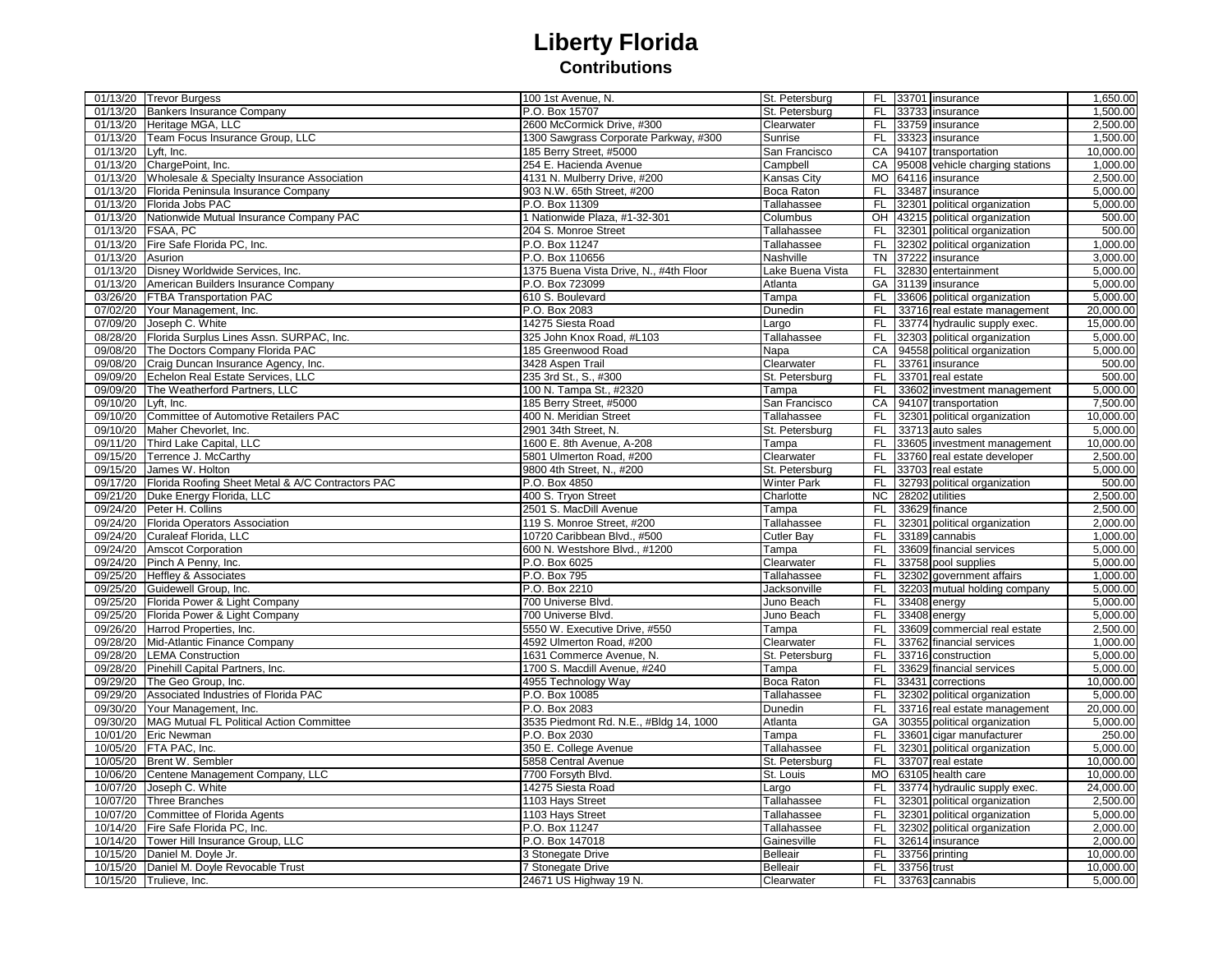|                      | 01/13/20 Trevor Burgess                                    | 100 1st Avenue, N.                          | St. Petersburg                | FL.                    |             | 33701 insurance                 | 1,650.00              |
|----------------------|------------------------------------------------------------|---------------------------------------------|-------------------------------|------------------------|-------------|---------------------------------|-----------------------|
| 01/13/20             | Bankers Insurance Company                                  | P.O. Box 15707                              | St. Petersburg                | <b>FL</b>              |             | 33733 insurance                 | 1,500.00              |
| 01/13/20             | Heritage MGA, LLC                                          | 2600 McCormick Drive, #300                  | Clearwater                    | <b>FL</b>              |             | 33759 insurance                 | 2,500.00              |
|                      |                                                            |                                             |                               | FL                     |             |                                 |                       |
| 01/13/20             | Team Focus Insurance Group, LLC                            | 1300 Sawgrass Corporate Parkway, #300       | Sunrise                       | CA                     |             | 33323 insurance                 | 1,500.00<br>10,000.00 |
| 01/13/20             | Lyft, Inc.                                                 | 185 Berry Street, #5000                     | San Francisco                 |                        |             | 94107 transportation            |                       |
|                      | 01/13/20 ChargePoint, Inc.                                 | 254 E. Hacienda Avenue                      | Campbell                      | CA                     |             | 95008 vehicle charging stations | 1,000.00              |
|                      | 01/13/20 Wholesale & Specialty Insurance Association       | 4131 N. Mulberry Drive, #200                | Kansas City                   | <b>MO</b>              |             | 64116 insurance                 | 2,500.00              |
| 01/13/20             | Florida Peninsula Insurance Company                        | 903 N.W. 65th Street, #200                  | Boca Raton                    | FL                     |             | 33487 insurance                 | 5,000.00              |
| 01/13/20             | Florida Jobs PAC                                           | P.O. Box 11309                              | Tallahassee                   | <b>FL</b>              |             | 32301 political organization    | 5,000.00              |
| 01/13/20             | Nationwide Mutual Insurance Company PAC                    | 1 Nationwide Plaza, #1-32-301               | Columbus                      | OH                     |             | 43215 political organization    | 500.00                |
| 01/13/20             | FSAA, PC                                                   | 204 S. Monroe Street                        | Tallahassee                   | <b>FL</b>              |             | 32301 political organization    | 500.00                |
| 01/13/20             | Fire Safe Florida PC, Inc.                                 | P.O. Box 11247                              | Tallahassee                   | <b>FL</b>              |             | 32302 political organization    | 1,000.00              |
| 01/13/20             | Asurion                                                    | P.O. Box 110656                             | Nashville                     | <b>TN</b>              |             | 37222 insurance                 | 3,000.00              |
| 01/13/20             | Disney Worldwide Services, Inc.                            | 1375 Buena Vista Drive, N., #4th Floor      | Lake Buena Vista              | <b>FL</b>              |             | 32830 entertainment             | 5,000.00              |
| 01/13/20             | American Builders Insurance Company                        | P.O. Box 723099                             | Atlanta                       | GA                     |             | 31139 insurance                 | 5,000.00              |
| 03/26/20             | FTBA Transportation PAC                                    | 610 S. Boulevard                            | Tampa                         | <b>FL</b>              |             | 33606 political organization    | 5,000.00              |
| 07/02/20             | Your Management, Inc.                                      | P.O. Box 2083                               | Dunedin                       | <b>FL</b>              |             | 33716 real estate management    | 20,000.00             |
| 07/09/20             | Joseph C. White                                            | 14275 Siesta Road                           | Largo                         | <b>FL</b>              |             | 33774 hydraulic supply exec.    | 15,000.00             |
| 08/28/20             | Florida Surplus Lines Assn. SURPAC, Inc.                   | 325 John Knox Road, #L103                   | Tallahassee                   | <b>FL</b>              |             | 32303 political organization    | 5,000.00              |
| 09/08/20             | The Doctors Company Florida PAC                            | 185 Greenwood Road                          | Napa                          | CA                     |             | 94558 political organization    | 5,000.00              |
|                      |                                                            |                                             |                               |                        |             |                                 |                       |
| 09/08/20             | Craig Duncan Insurance Agency, Inc.                        | 3428 Aspen Trail                            | Clearwater                    | <b>FL</b>              |             | 33761 insurance                 | 500.00                |
| 09/09/20             | Echelon Real Estate Services, LLC                          | 235 3rd St., S., #300                       | St. Petersburg                | FL.                    |             | 33701 real estate               | 500.00                |
| 09/09/20             | The Weatherford Partners, LLC                              | 100 N. Tampa St., #2320                     | Tampa                         | FL                     |             | 33602 investment management     | 5,000.00              |
| 09/10/20             | Lyft, Inc.                                                 | 185 Berry Street, #5000                     | San Francisco                 | CA                     |             | 94107 transportation            | 7,500.00              |
| 09/10/20             | Committee of Automotive Retailers PAC                      | 400 N. Meridian Street                      | Tallahassee                   | <b>FL</b>              |             | 32301 political organization    | 10,000.00             |
| 09/10/20             | Maher Chevorlet, Inc.                                      | 2901 34th Street, N.                        | St. Petersburg                | <b>FL</b>              |             | 33713 auto sales                | 5,000.00              |
| 09/11/20             | Third Lake Capital, LLC                                    | 1600 E. 8th Avenue, A-208                   | Tampa                         | FL                     |             | 33605 investment management     | 10,000.00             |
| 09/15/20             | Terrence J. McCarthy                                       | 5801 Ulmerton Road, #200                    | Clearwater                    | <b>FL</b>              |             | 33760 real estate developer     | 2,500.00              |
| 09/15/20             | James W. Holton                                            | 9800 4th Street, N., #200                   | St. Petersburg                | <b>FL</b>              |             | 33703 real estate               | 5,000.00              |
| 09/17/20             | Florida Roofing Sheet Metal & A/C Contractors PAC          | P.O. Box 4850                               | <b>Winter Park</b>            | <b>FL</b>              |             | 32793 political organization    | 500.00                |
| 09/21/20             | Duke Energy Florida, LLC                                   | 400 S. Tryon Street                         | Charlotte                     | $\overline{NC}$        |             | 28202 utilities                 | 2,500.00              |
|                      | 09/24/20 Peter H. Collins                                  | 2501 S. MacDill Avenue                      | Tampa                         | FL                     |             | 33629 finance                   | 2,500.00              |
| 09/24/20             | Florida Operators Association                              | 119 S. Monroe Street. #200                  | Tallahassee                   | F <sub>L</sub>         |             | 32301 political organization    | 2,000.00              |
| 09/24/20             | Curaleaf Florida, LLC                                      | 10720 Caribbean Blvd., #500                 | <b>Cutler Bay</b>             | <b>FL</b>              |             | 33189 cannabis                  | 1,000.00              |
| 09/24/20             | <b>Amscot Corporation</b>                                  | 600 N. Westshore Blvd., #1200               | Tampa                         | <b>FL</b>              |             | 33609 financial services        | 5,000.00              |
| 09/24/20             | Pinch A Penny, Inc.                                        | P.O. Box 6025                               | Clearwater                    | <b>FL</b>              |             | 33758 pool supplies             | 5,000.00              |
|                      |                                                            |                                             |                               |                        |             |                                 |                       |
|                      |                                                            |                                             |                               |                        |             |                                 |                       |
| 09/25/20             | Heffley & Associates                                       | P.O. Box 795                                | Tallahassee                   | <b>FL</b>              |             | 32302 government affairs        | 1,000.00              |
| 09/25/20             | Guidewell Group, Inc.                                      | P.O. Box 2210                               | Jacksonville                  | <b>FL</b>              |             | 32203 mutual holding company    | 5,000.00              |
| 09/25/20             | Florida Power & Light Company                              | 700 Universe Blvd.                          | Juno Beach                    | <b>FL</b>              |             | 33408 energy                    | 5,000.00              |
| 09/25/20             | Florida Power & Light Company                              | 700 Universe Blvd.                          | Juno Beach                    | FL                     |             | 33408 energy                    | 5,000.00              |
| 09/26/20             | Harrod Properties, Inc.                                    | 5550 W. Executive Drive, #550               | Tampa                         | <b>FL</b>              |             | 33609 commercial real estate    | 2,500.00              |
| 09/28/20             | Mid-Atlantic Finance Company                               | 4592 Ulmerton Road, #200                    | Clearwater                    | <b>FL</b>              |             | 33762 financial services        | 1,000.00              |
| 09/28/20             | <b>LEMA Construction</b>                                   | 1631 Commerce Avenue, N.                    | St. Petersburg                | <b>FL</b>              |             | 33716 construction              | 5,000.00              |
| 09/28/20             | Pinehill Capital Partners, Inc.                            | 1700 S. Macdill Avenue, #240                | Tampa                         | <b>FL</b>              |             | 33629 financial services        | 5,000.00              |
| 09/29/20             | The Geo Group, Inc.                                        | 4955 Technology Way                         | Boca Raton                    | FL.                    |             | 33431 corrections               | 10,000.00             |
| 09/29/20             | Associated Industries of Florida PAC                       | P.O. Box 10085                              | Tallahassee                   | <b>FL</b>              |             | 32302 political organization    | 5,000.00              |
| 09/30/20             | Your Management, Inc.                                      | P.O. Box 2083                               | Dunedin                       | <b>FL</b>              |             | 33716 real estate management    | 20,000.00             |
| 09/30/20             | MAG Mutual FL Political Action Committee                   | 3535 Piedmont Rd. N.E., #Bldg 14, 1000      | Atlanta                       | GA                     |             | 30355 political organization    | 5,000.00              |
|                      | 10/01/20 Eric Newman                                       | P.O. Box 2030                               | Tampa                         | <b>FL</b>              |             | 33601 cigar manufacturer        | 250.00                |
| 10/05/20             | FTA PAC, Inc.                                              | 350 E. College Avenue                       | Tallahassee                   | FL                     |             | 32301 political organization    | 5,000.00              |
|                      |                                                            |                                             |                               | <b>FL</b>              |             |                                 |                       |
| 10/05/20<br>10/06/20 | Brent W. Sembler<br>Centene Management Company, LLC        | 5858 Central Avenue<br>7700 Forsyth Blvd.   | St. Petersburg<br>St. Louis   | MO                     |             | 33707 real estate               | 10,000.00             |
|                      |                                                            |                                             |                               |                        |             | 63105 health care               | 10,000.00             |
|                      | 10/07/20 Joseph C. White                                   | 14275 Siesta Road                           | Largo                         | F <sub>L</sub>         |             | 33774 hydraulic supply exec.    | 24,000.00             |
| 10/07/20             | <b>Three Branches</b>                                      | 1103 Hays Street                            | Tallahassee                   | <b>FL</b>              |             | 32301 political organization    | 2,500.00              |
| 10/07/20             | Committee of Florida Agents                                | 1103 Hays Street                            | Tallahassee                   | <b>FL</b>              |             | 32301 political organization    | 5,000.00              |
| 10/14/20             | Fire Safe Florida PC, Inc.                                 | P.O. Box 11247                              | Tallahassee                   | <b>FL</b>              |             | 32302 political organization    | 2,000.00              |
| 10/14/20             | Tower Hill Insurance Group, LLC                            | P.O. Box 147018                             | Gainesville                   | <b>FL</b>              |             | 32614 insurance                 | 2,000.00              |
| 10/15/20             | Daniel M. Doyle Jr.                                        | 3 Stonegate Drive                           | <b>Belleair</b>               | <b>FL</b>              |             | 33756 printing                  | 10,000.00             |
| 10/15/20             | Daniel M. Doyle Revocable Trust<br>10/15/20 Trulieve, Inc. | 7 Stonegate Drive<br>24671 US Highway 19 N. | <b>Belleair</b><br>Clearwater | <b>FL</b><br><b>FL</b> | 33756 trust | 33763 cannabis                  | 10,000.00<br>5,000.00 |